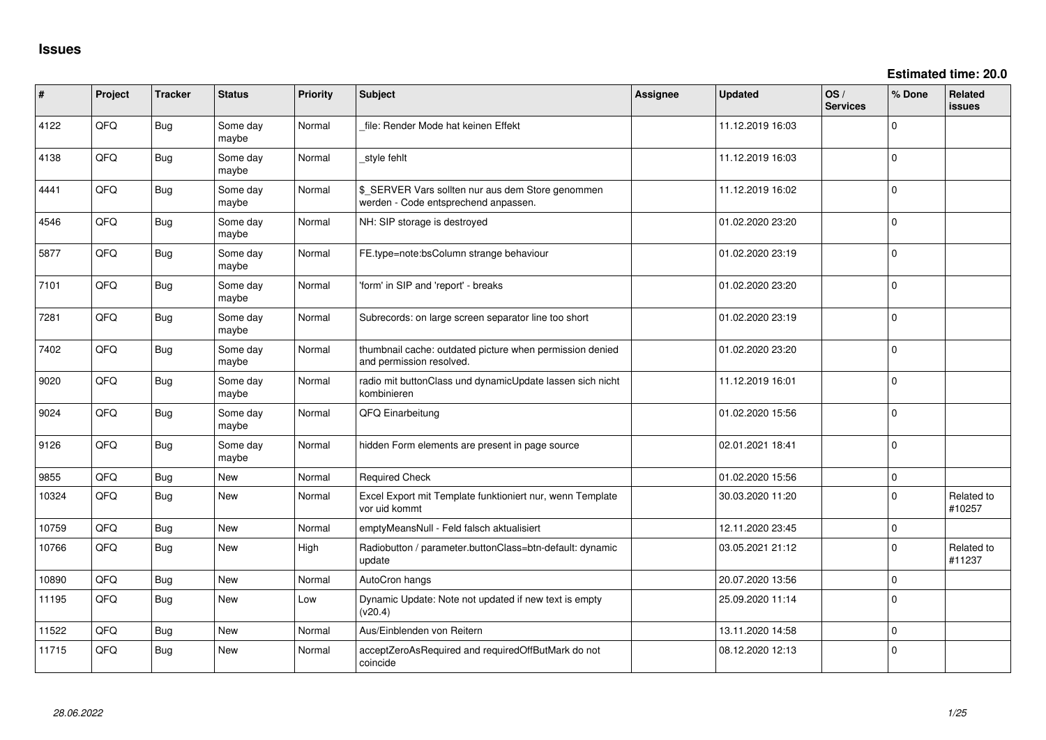**Estimated time: 20.0**

| #     | Project | <b>Tracker</b> | <b>Status</b>     | Priority | <b>Subject</b>                                                                            | <b>Assignee</b> | <b>Updated</b>   | OS/<br><b>Services</b> | % Done      | Related<br><b>issues</b> |
|-------|---------|----------------|-------------------|----------|-------------------------------------------------------------------------------------------|-----------------|------------------|------------------------|-------------|--------------------------|
| 4122  | QFQ     | <b>Bug</b>     | Some day<br>maybe | Normal   | file: Render Mode hat keinen Effekt                                                       |                 | 11.12.2019 16:03 |                        | $\Omega$    |                          |
| 4138  | QFQ     | <b>Bug</b>     | Some day<br>maybe | Normal   | style fehlt                                                                               |                 | 11.12.2019 16:03 |                        | $\Omega$    |                          |
| 4441  | QFQ     | <b>Bug</b>     | Some day<br>maybe | Normal   | \$_SERVER Vars sollten nur aus dem Store genommen<br>werden - Code entsprechend anpassen. |                 | 11.12.2019 16:02 |                        | $\Omega$    |                          |
| 4546  | QFQ     | <b>Bug</b>     | Some day<br>maybe | Normal   | NH: SIP storage is destroyed                                                              |                 | 01.02.2020 23:20 |                        | $\Omega$    |                          |
| 5877  | QFQ     | <b>Bug</b>     | Some day<br>maybe | Normal   | FE.type=note:bsColumn strange behaviour                                                   |                 | 01.02.2020 23:19 |                        | $\Omega$    |                          |
| 7101  | QFQ     | <b>Bug</b>     | Some day<br>maybe | Normal   | 'form' in SIP and 'report' - breaks                                                       |                 | 01.02.2020 23:20 |                        | $\Omega$    |                          |
| 7281  | QFQ     | <b>Bug</b>     | Some day<br>maybe | Normal   | Subrecords: on large screen separator line too short                                      |                 | 01.02.2020 23:19 |                        | $\Omega$    |                          |
| 7402  | QFQ     | <b>Bug</b>     | Some day<br>maybe | Normal   | thumbnail cache: outdated picture when permission denied<br>and permission resolved.      |                 | 01.02.2020 23:20 |                        | $\mathbf 0$ |                          |
| 9020  | QFQ     | <b>Bug</b>     | Some day<br>maybe | Normal   | radio mit buttonClass und dynamicUpdate lassen sich nicht<br>kombinieren                  |                 | 11.12.2019 16:01 |                        | $\Omega$    |                          |
| 9024  | QFQ     | Bug            | Some day<br>maybe | Normal   | QFQ Einarbeitung                                                                          |                 | 01.02.2020 15:56 |                        | $\mathbf 0$ |                          |
| 9126  | QFQ     | <b>Bug</b>     | Some day<br>maybe | Normal   | hidden Form elements are present in page source                                           |                 | 02.01.2021 18:41 |                        | $\mathbf 0$ |                          |
| 9855  | QFQ     | Bug            | <b>New</b>        | Normal   | <b>Required Check</b>                                                                     |                 | 01.02.2020 15:56 |                        | $\mathbf 0$ |                          |
| 10324 | QFQ     | Bug            | New               | Normal   | Excel Export mit Template funktioniert nur, wenn Template<br>vor uid kommt                |                 | 30.03.2020 11:20 |                        | $\Omega$    | Related to<br>#10257     |
| 10759 | QFQ     | Bug            | New               | Normal   | emptyMeansNull - Feld falsch aktualisiert                                                 |                 | 12.11.2020 23:45 |                        | $\mathbf 0$ |                          |
| 10766 | QFQ     | Bug            | <b>New</b>        | High     | Radiobutton / parameter.buttonClass=btn-default: dynamic<br>update                        |                 | 03.05.2021 21:12 |                        | $\Omega$    | Related to<br>#11237     |
| 10890 | QFQ     | Bug            | New               | Normal   | AutoCron hangs                                                                            |                 | 20.07.2020 13:56 |                        | $\Omega$    |                          |
| 11195 | QFQ     | <b>Bug</b>     | New               | Low      | Dynamic Update: Note not updated if new text is empty<br>(v20.4)                          |                 | 25.09.2020 11:14 |                        | $\Omega$    |                          |
| 11522 | QFQ.    | Bug            | New               | Normal   | Aus/Einblenden von Reitern                                                                |                 | 13.11.2020 14:58 |                        | $\Omega$    |                          |
| 11715 | QFQ     | <b>Bug</b>     | <b>New</b>        | Normal   | acceptZeroAsRequired and requiredOffButMark do not<br>coincide                            |                 | 08.12.2020 12:13 |                        | l O         |                          |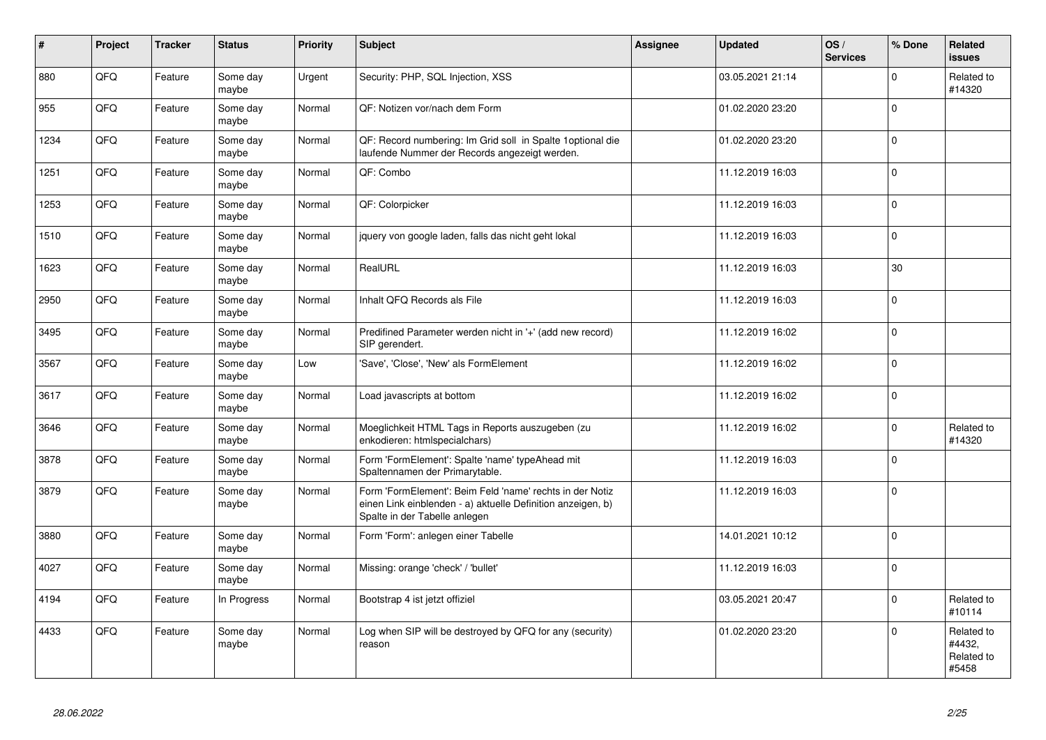| $\vert$ # | Project | <b>Tracker</b> | <b>Status</b>     | <b>Priority</b> | Subject                                                                                                                                                  | Assignee | <b>Updated</b>   | OS/<br><b>Services</b> | % Done   | Related<br><b>issues</b>                    |
|-----------|---------|----------------|-------------------|-----------------|----------------------------------------------------------------------------------------------------------------------------------------------------------|----------|------------------|------------------------|----------|---------------------------------------------|
| 880       | QFQ     | Feature        | Some day<br>maybe | Urgent          | Security: PHP, SQL Injection, XSS                                                                                                                        |          | 03.05.2021 21:14 |                        | $\Omega$ | Related to<br>#14320                        |
| 955       | QFQ     | Feature        | Some day<br>maybe | Normal          | QF: Notizen vor/nach dem Form                                                                                                                            |          | 01.02.2020 23:20 |                        | $\Omega$ |                                             |
| 1234      | QFQ     | Feature        | Some day<br>maybe | Normal          | QF: Record numbering: Im Grid soll in Spalte 1 optional die<br>laufende Nummer der Records angezeigt werden.                                             |          | 01.02.2020 23:20 |                        | $\Omega$ |                                             |
| 1251      | QFQ     | Feature        | Some day<br>maybe | Normal          | QF: Combo                                                                                                                                                |          | 11.12.2019 16:03 |                        | $\Omega$ |                                             |
| 1253      | QFQ     | Feature        | Some day<br>maybe | Normal          | QF: Colorpicker                                                                                                                                          |          | 11.12.2019 16:03 |                        | $\Omega$ |                                             |
| 1510      | QFQ     | Feature        | Some day<br>maybe | Normal          | jquery von google laden, falls das nicht geht lokal                                                                                                      |          | 11.12.2019 16:03 |                        | $\Omega$ |                                             |
| 1623      | QFQ     | Feature        | Some day<br>maybe | Normal          | RealURL                                                                                                                                                  |          | 11.12.2019 16:03 |                        | 30       |                                             |
| 2950      | QFQ     | Feature        | Some day<br>maybe | Normal          | Inhalt QFQ Records als File                                                                                                                              |          | 11.12.2019 16:03 |                        | $\Omega$ |                                             |
| 3495      | QFQ     | Feature        | Some day<br>maybe | Normal          | Predifined Parameter werden nicht in '+' (add new record)<br>SIP gerendert.                                                                              |          | 11.12.2019 16:02 |                        | $\Omega$ |                                             |
| 3567      | QFQ     | Feature        | Some day<br>maybe | Low             | 'Save', 'Close', 'New' als FormElement                                                                                                                   |          | 11.12.2019 16:02 |                        | $\Omega$ |                                             |
| 3617      | QFQ     | Feature        | Some day<br>maybe | Normal          | Load javascripts at bottom                                                                                                                               |          | 11.12.2019 16:02 |                        | $\Omega$ |                                             |
| 3646      | QFQ     | Feature        | Some day<br>maybe | Normal          | Moeglichkeit HTML Tags in Reports auszugeben (zu<br>enkodieren: htmlspecialchars)                                                                        |          | 11.12.2019 16:02 |                        | $\Omega$ | Related to<br>#14320                        |
| 3878      | QFQ     | Feature        | Some day<br>maybe | Normal          | Form 'FormElement': Spalte 'name' typeAhead mit<br>Spaltennamen der Primarytable.                                                                        |          | 11.12.2019 16:03 |                        | $\Omega$ |                                             |
| 3879      | QFQ     | Feature        | Some day<br>maybe | Normal          | Form 'FormElement': Beim Feld 'name' rechts in der Notiz<br>einen Link einblenden - a) aktuelle Definition anzeigen, b)<br>Spalte in der Tabelle anlegen |          | 11.12.2019 16:03 |                        | $\Omega$ |                                             |
| 3880      | QFQ     | Feature        | Some day<br>maybe | Normal          | Form 'Form': anlegen einer Tabelle                                                                                                                       |          | 14.01.2021 10:12 |                        | $\Omega$ |                                             |
| 4027      | QFQ     | Feature        | Some day<br>maybe | Normal          | Missing: orange 'check' / 'bullet'                                                                                                                       |          | 11.12.2019 16:03 |                        | $\Omega$ |                                             |
| 4194      | QFQ     | Feature        | In Progress       | Normal          | Bootstrap 4 ist jetzt offiziel                                                                                                                           |          | 03.05.2021 20:47 |                        | $\Omega$ | Related to<br>#10114                        |
| 4433      | QFQ     | Feature        | Some day<br>maybe | Normal          | Log when SIP will be destroyed by QFQ for any (security)<br>reason                                                                                       |          | 01.02.2020 23:20 |                        | $\Omega$ | Related to<br>#4432,<br>Related to<br>#5458 |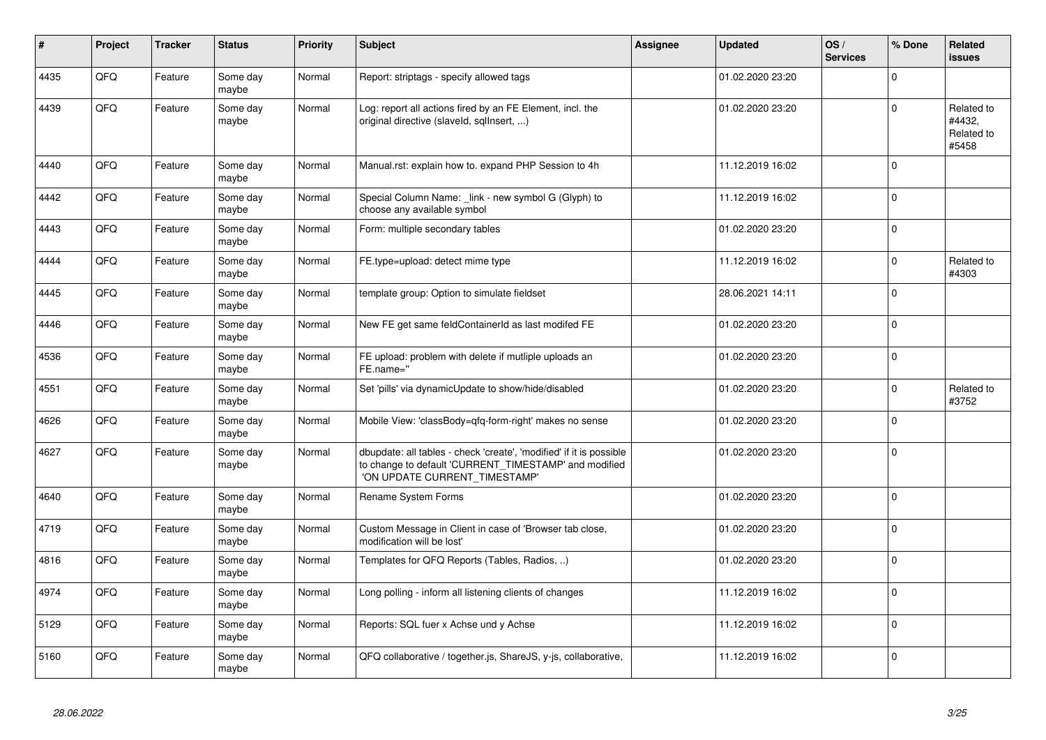| #    | Project | <b>Tracker</b> | <b>Status</b>     | <b>Priority</b> | <b>Subject</b>                                                                                                                                                | <b>Assignee</b> | <b>Updated</b>   | OS/<br><b>Services</b> | % Done      | Related<br><b>issues</b>                    |
|------|---------|----------------|-------------------|-----------------|---------------------------------------------------------------------------------------------------------------------------------------------------------------|-----------------|------------------|------------------------|-------------|---------------------------------------------|
| 4435 | QFQ     | Feature        | Some day<br>maybe | Normal          | Report: striptags - specify allowed tags                                                                                                                      |                 | 01.02.2020 23:20 |                        | $\Omega$    |                                             |
| 4439 | QFQ     | Feature        | Some day<br>maybe | Normal          | Log: report all actions fired by an FE Element, incl. the<br>original directive (slaveld, sqllnsert, )                                                        |                 | 01.02.2020 23:20 |                        | $\Omega$    | Related to<br>#4432,<br>Related to<br>#5458 |
| 4440 | QFQ     | Feature        | Some day<br>maybe | Normal          | Manual.rst: explain how to. expand PHP Session to 4h                                                                                                          |                 | 11.12.2019 16:02 |                        | $\Omega$    |                                             |
| 4442 | QFQ     | Feature        | Some day<br>maybe | Normal          | Special Column Name: _link - new symbol G (Glyph) to<br>choose any available symbol                                                                           |                 | 11.12.2019 16:02 |                        | $\Omega$    |                                             |
| 4443 | QFQ     | Feature        | Some day<br>maybe | Normal          | Form: multiple secondary tables                                                                                                                               |                 | 01.02.2020 23:20 |                        | $\Omega$    |                                             |
| 4444 | QFQ     | Feature        | Some day<br>maybe | Normal          | FE.type=upload: detect mime type                                                                                                                              |                 | 11.12.2019 16:02 |                        | $\Omega$    | Related to<br>#4303                         |
| 4445 | QFQ     | Feature        | Some day<br>maybe | Normal          | template group: Option to simulate fieldset                                                                                                                   |                 | 28.06.2021 14:11 |                        | $\Omega$    |                                             |
| 4446 | QFQ     | Feature        | Some day<br>maybe | Normal          | New FE get same feldContainerId as last modifed FE                                                                                                            |                 | 01.02.2020 23:20 |                        | $\Omega$    |                                             |
| 4536 | QFQ     | Feature        | Some day<br>maybe | Normal          | FE upload: problem with delete if mutliple uploads an<br>FE.name="                                                                                            |                 | 01.02.2020 23:20 |                        | $\Omega$    |                                             |
| 4551 | QFQ     | Feature        | Some day<br>maybe | Normal          | Set 'pills' via dynamicUpdate to show/hide/disabled                                                                                                           |                 | 01.02.2020 23:20 |                        | $\Omega$    | Related to<br>#3752                         |
| 4626 | QFQ     | Feature        | Some day<br>maybe | Normal          | Mobile View: 'classBody=qfq-form-right' makes no sense                                                                                                        |                 | 01.02.2020 23:20 |                        | $\Omega$    |                                             |
| 4627 | QFQ     | Feature        | Some day<br>maybe | Normal          | dbupdate: all tables - check 'create', 'modified' if it is possible<br>to change to default 'CURRENT_TIMESTAMP' and modified<br>'ON UPDATE CURRENT TIMESTAMP' |                 | 01.02.2020 23:20 |                        | $\Omega$    |                                             |
| 4640 | QFQ     | Feature        | Some day<br>maybe | Normal          | Rename System Forms                                                                                                                                           |                 | 01.02.2020 23:20 |                        | $\Omega$    |                                             |
| 4719 | QFQ     | Feature        | Some day<br>maybe | Normal          | Custom Message in Client in case of 'Browser tab close,<br>modification will be lost'                                                                         |                 | 01.02.2020 23:20 |                        | $\Omega$    |                                             |
| 4816 | QFQ     | Feature        | Some day<br>maybe | Normal          | Templates for QFQ Reports (Tables, Radios, )                                                                                                                  |                 | 01.02.2020 23:20 |                        | $\Omega$    |                                             |
| 4974 | QFQ     | Feature        | Some day<br>maybe | Normal          | Long polling - inform all listening clients of changes                                                                                                        |                 | 11.12.2019 16:02 |                        | $\Omega$    |                                             |
| 5129 | QFQ     | Feature        | Some day<br>maybe | Normal          | Reports: SQL fuer x Achse und y Achse                                                                                                                         |                 | 11.12.2019 16:02 |                        | $\mathbf 0$ |                                             |
| 5160 | QFQ     | Feature        | Some day<br>maybe | Normal          | QFQ collaborative / together.js, ShareJS, y-js, collaborative,                                                                                                |                 | 11.12.2019 16:02 |                        | $\Omega$    |                                             |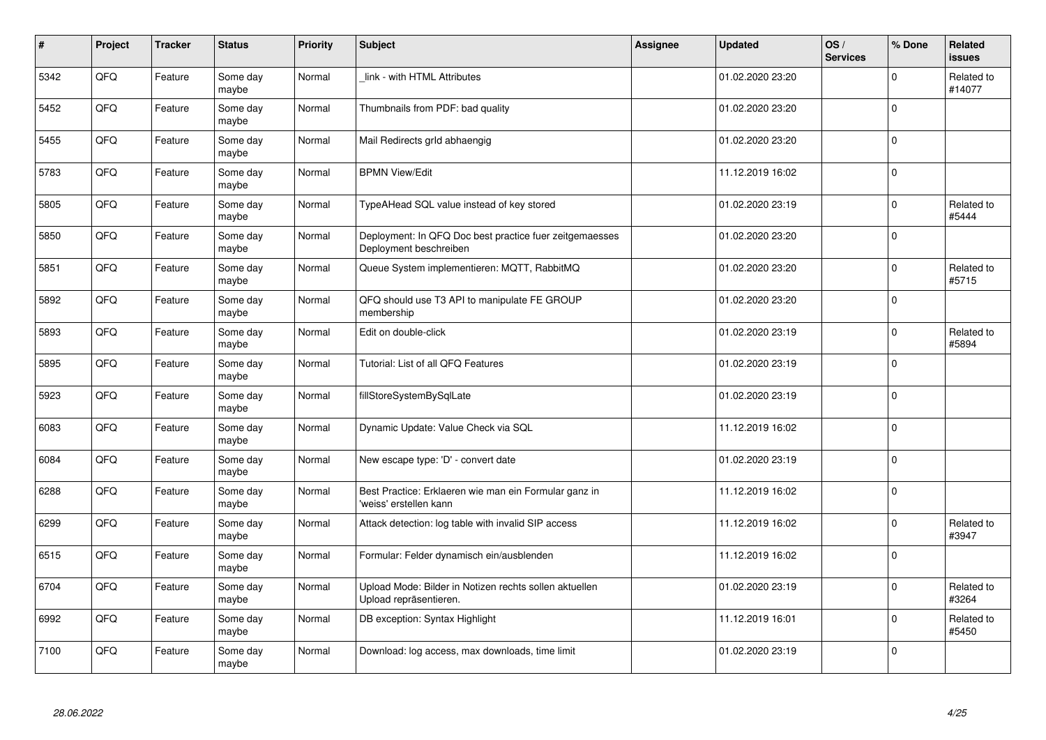| $\sharp$ | Project | <b>Tracker</b> | <b>Status</b>     | <b>Priority</b> | <b>Subject</b>                                                                    | <b>Assignee</b> | <b>Updated</b>   | OS/<br><b>Services</b> | % Done      | <b>Related</b><br><b>issues</b> |
|----------|---------|----------------|-------------------|-----------------|-----------------------------------------------------------------------------------|-----------------|------------------|------------------------|-------------|---------------------------------|
| 5342     | QFQ     | Feature        | Some day<br>maybe | Normal          | link - with HTML Attributes                                                       |                 | 01.02.2020 23:20 |                        | $\Omega$    | Related to<br>#14077            |
| 5452     | QFQ     | Feature        | Some day<br>maybe | Normal          | Thumbnails from PDF: bad quality                                                  |                 | 01.02.2020 23:20 |                        | $\Omega$    |                                 |
| 5455     | QFQ     | Feature        | Some day<br>maybe | Normal          | Mail Redirects grld abhaengig                                                     |                 | 01.02.2020 23:20 |                        | $\Omega$    |                                 |
| 5783     | QFQ     | Feature        | Some day<br>maybe | Normal          | <b>BPMN View/Edit</b>                                                             |                 | 11.12.2019 16:02 |                        | $\Omega$    |                                 |
| 5805     | QFQ     | Feature        | Some day<br>maybe | Normal          | TypeAHead SQL value instead of key stored                                         |                 | 01.02.2020 23:19 |                        | $\Omega$    | Related to<br>#5444             |
| 5850     | QFQ     | Feature        | Some day<br>maybe | Normal          | Deployment: In QFQ Doc best practice fuer zeitgemaesses<br>Deployment beschreiben |                 | 01.02.2020 23:20 |                        | $\Omega$    |                                 |
| 5851     | QFQ     | Feature        | Some day<br>maybe | Normal          | Queue System implementieren: MQTT, RabbitMQ                                       |                 | 01.02.2020 23:20 |                        | $\Omega$    | Related to<br>#5715             |
| 5892     | QFQ     | Feature        | Some day<br>maybe | Normal          | QFQ should use T3 API to manipulate FE GROUP<br>membership                        |                 | 01.02.2020 23:20 |                        | $\Omega$    |                                 |
| 5893     | QFQ     | Feature        | Some day<br>maybe | Normal          | Edit on double-click                                                              |                 | 01.02.2020 23:19 |                        | $\Omega$    | Related to<br>#5894             |
| 5895     | QFQ     | Feature        | Some day<br>maybe | Normal          | Tutorial: List of all QFQ Features                                                |                 | 01.02.2020 23:19 |                        | $\mathbf 0$ |                                 |
| 5923     | QFQ     | Feature        | Some day<br>maybe | Normal          | fillStoreSystemBySqlLate                                                          |                 | 01.02.2020 23:19 |                        | $\Omega$    |                                 |
| 6083     | QFQ     | Feature        | Some day<br>maybe | Normal          | Dynamic Update: Value Check via SQL                                               |                 | 11.12.2019 16:02 |                        | $\mathbf 0$ |                                 |
| 6084     | QFQ     | Feature        | Some day<br>maybe | Normal          | New escape type: 'D' - convert date                                               |                 | 01.02.2020 23:19 |                        | $\Omega$    |                                 |
| 6288     | QFQ     | Feature        | Some day<br>maybe | Normal          | Best Practice: Erklaeren wie man ein Formular ganz in<br>'weiss' erstellen kann   |                 | 11.12.2019 16:02 |                        | $\Omega$    |                                 |
| 6299     | QFQ     | Feature        | Some day<br>maybe | Normal          | Attack detection: log table with invalid SIP access                               |                 | 11.12.2019 16:02 |                        | $\Omega$    | Related to<br>#3947             |
| 6515     | QFQ     | Feature        | Some day<br>maybe | Normal          | Formular: Felder dynamisch ein/ausblenden                                         |                 | 11.12.2019 16:02 |                        | $\Omega$    |                                 |
| 6704     | QFQ     | Feature        | Some day<br>maybe | Normal          | Upload Mode: Bilder in Notizen rechts sollen aktuellen<br>Upload repräsentieren.  |                 | 01.02.2020 23:19 |                        | $\Omega$    | Related to<br>#3264             |
| 6992     | QFQ     | Feature        | Some day<br>maybe | Normal          | DB exception: Syntax Highlight                                                    |                 | 11.12.2019 16:01 |                        | $\mathbf 0$ | Related to<br>#5450             |
| 7100     | QFQ     | Feature        | Some day<br>maybe | Normal          | Download: log access, max downloads, time limit                                   |                 | 01.02.2020 23:19 |                        | $\Omega$    |                                 |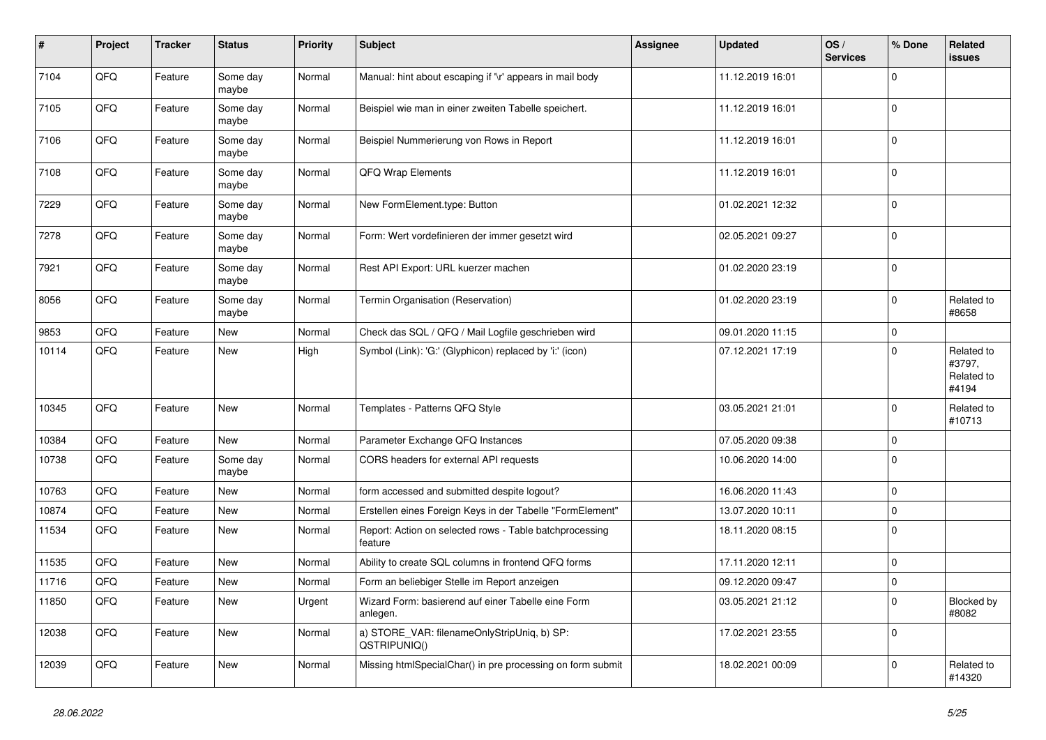| $\sharp$ | Project | <b>Tracker</b> | <b>Status</b>     | <b>Priority</b> | <b>Subject</b>                                                     | <b>Assignee</b> | <b>Updated</b>   | OS/<br><b>Services</b> | % Done      | Related<br><b>issues</b>                    |
|----------|---------|----------------|-------------------|-----------------|--------------------------------------------------------------------|-----------------|------------------|------------------------|-------------|---------------------------------------------|
| 7104     | QFQ     | Feature        | Some day<br>maybe | Normal          | Manual: hint about escaping if '\r' appears in mail body           |                 | 11.12.2019 16:01 |                        | $\Omega$    |                                             |
| 7105     | QFQ     | Feature        | Some day<br>maybe | Normal          | Beispiel wie man in einer zweiten Tabelle speichert.               |                 | 11.12.2019 16:01 |                        | $\mathbf 0$ |                                             |
| 7106     | QFQ     | Feature        | Some day<br>maybe | Normal          | Beispiel Nummerierung von Rows in Report                           |                 | 11.12.2019 16:01 |                        | $\Omega$    |                                             |
| 7108     | QFQ     | Feature        | Some day<br>maybe | Normal          | QFQ Wrap Elements                                                  |                 | 11.12.2019 16:01 |                        | $\Omega$    |                                             |
| 7229     | QFQ     | Feature        | Some day<br>maybe | Normal          | New FormElement.type: Button                                       |                 | 01.02.2021 12:32 |                        | $\mathbf 0$ |                                             |
| 7278     | QFQ     | Feature        | Some day<br>maybe | Normal          | Form: Wert vordefinieren der immer gesetzt wird                    |                 | 02.05.2021 09:27 |                        | $\Omega$    |                                             |
| 7921     | QFQ     | Feature        | Some day<br>maybe | Normal          | Rest API Export: URL kuerzer machen                                |                 | 01.02.2020 23:19 |                        | $\mathbf 0$ |                                             |
| 8056     | QFQ     | Feature        | Some day<br>maybe | Normal          | Termin Organisation (Reservation)                                  |                 | 01.02.2020 23:19 |                        | $\Omega$    | Related to<br>#8658                         |
| 9853     | QFQ     | Feature        | New               | Normal          | Check das SQL / QFQ / Mail Logfile geschrieben wird                |                 | 09.01.2020 11:15 |                        | $\mathbf 0$ |                                             |
| 10114    | QFQ     | Feature        | New               | High            | Symbol (Link): 'G:' (Glyphicon) replaced by 'i:' (icon)            |                 | 07.12.2021 17:19 |                        | $\Omega$    | Related to<br>#3797,<br>Related to<br>#4194 |
| 10345    | QFQ     | Feature        | New               | Normal          | Templates - Patterns QFQ Style                                     |                 | 03.05.2021 21:01 |                        | $\Omega$    | Related to<br>#10713                        |
| 10384    | QFQ     | Feature        | <b>New</b>        | Normal          | Parameter Exchange QFQ Instances                                   |                 | 07.05.2020 09:38 |                        | $\Omega$    |                                             |
| 10738    | QFQ     | Feature        | Some day<br>maybe | Normal          | CORS headers for external API requests                             |                 | 10.06.2020 14:00 |                        | $\Omega$    |                                             |
| 10763    | QFQ     | Feature        | <b>New</b>        | Normal          | form accessed and submitted despite logout?                        |                 | 16.06.2020 11:43 |                        | $\Omega$    |                                             |
| 10874    | QFQ     | Feature        | <b>New</b>        | Normal          | Erstellen eines Foreign Keys in der Tabelle "FormElement"          |                 | 13.07.2020 10:11 |                        | $\Omega$    |                                             |
| 11534    | QFQ     | Feature        | New               | Normal          | Report: Action on selected rows - Table batchprocessing<br>feature |                 | 18.11.2020 08:15 |                        | $\Omega$    |                                             |
| 11535    | QFQ     | Feature        | <b>New</b>        | Normal          | Ability to create SQL columns in frontend QFQ forms                |                 | 17.11.2020 12:11 |                        | 0           |                                             |
| 11716    | QFQ     | Feature        | New               | Normal          | Form an beliebiger Stelle im Report anzeigen                       |                 | 09.12.2020 09:47 |                        | 0           |                                             |
| 11850    | QFQ     | Feature        | New               | Urgent          | Wizard Form: basierend auf einer Tabelle eine Form<br>anlegen.     |                 | 03.05.2021 21:12 |                        | $\Omega$    | Blocked by<br>#8082                         |
| 12038    | QFQ     | Feature        | <b>New</b>        | Normal          | a) STORE_VAR: filenameOnlyStripUniq, b) SP:<br>QSTRIPUNIQ()        |                 | 17.02.2021 23:55 |                        | $\Omega$    |                                             |
| 12039    | QFQ     | Feature        | New               | Normal          | Missing htmlSpecialChar() in pre processing on form submit         |                 | 18.02.2021 00:09 |                        | $\Omega$    | Related to<br>#14320                        |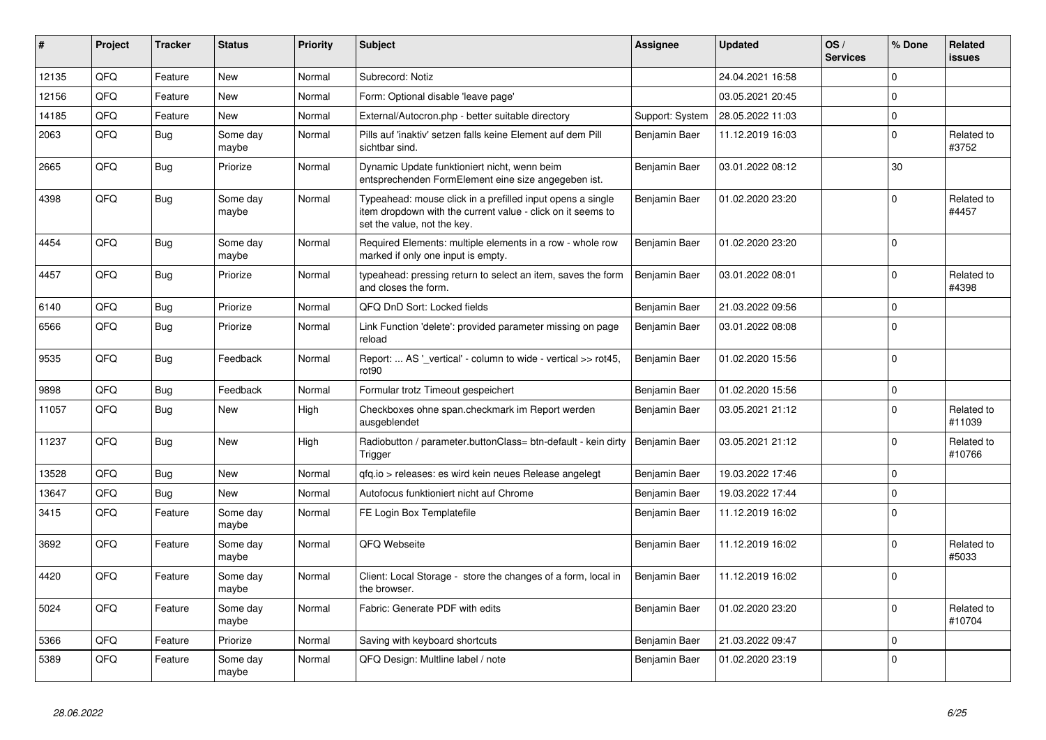| ∦     | Project | <b>Tracker</b> | <b>Status</b>     | <b>Priority</b> | <b>Subject</b>                                                                                                                                           | Assignee             | <b>Updated</b>   | OS/<br><b>Services</b> | % Done         | Related<br><b>issues</b> |
|-------|---------|----------------|-------------------|-----------------|----------------------------------------------------------------------------------------------------------------------------------------------------------|----------------------|------------------|------------------------|----------------|--------------------------|
| 12135 | QFQ     | Feature        | <b>New</b>        | Normal          | Subrecord: Notiz                                                                                                                                         |                      | 24.04.2021 16:58 |                        | $\Omega$       |                          |
| 12156 | QFQ     | Feature        | <b>New</b>        | Normal          | Form: Optional disable 'leave page'                                                                                                                      |                      | 03.05.2021 20:45 |                        | $\Omega$       |                          |
| 14185 | QFQ     | Feature        | <b>New</b>        | Normal          | External/Autocron.php - better suitable directory                                                                                                        | Support: System      | 28.05.2022 11:03 |                        | $\Omega$       |                          |
| 2063  | QFQ     | <b>Bug</b>     | Some day<br>maybe | Normal          | Pills auf 'inaktiv' setzen falls keine Element auf dem Pill<br>sichtbar sind.                                                                            | Benjamin Baer        | 11.12.2019 16:03 |                        | $\overline{0}$ | Related to<br>#3752      |
| 2665  | QFQ     | <b>Bug</b>     | Priorize          | Normal          | Dynamic Update funktioniert nicht, wenn beim<br>entsprechenden FormElement eine size angegeben ist.                                                      | Benjamin Baer        | 03.01.2022 08:12 |                        | 30             |                          |
| 4398  | QFQ     | <b>Bug</b>     | Some day<br>maybe | Normal          | Typeahead: mouse click in a prefilled input opens a single<br>item dropdown with the current value - click on it seems to<br>set the value, not the key. | Benjamin Baer        | 01.02.2020 23:20 |                        | $\Omega$       | Related to<br>#4457      |
| 4454  | QFQ     | Bug            | Some day<br>maybe | Normal          | Required Elements: multiple elements in a row - whole row<br>marked if only one input is empty.                                                          | Benjamin Baer        | 01.02.2020 23:20 |                        | $\Omega$       |                          |
| 4457  | QFQ     | Bug            | Priorize          | Normal          | typeahead: pressing return to select an item, saves the form<br>and closes the form.                                                                     | Benjamin Baer        | 03.01.2022 08:01 |                        | $\Omega$       | Related to<br>#4398      |
| 6140  | QFQ     | Bug            | Priorize          | Normal          | QFQ DnD Sort: Locked fields                                                                                                                              | Benjamin Baer        | 21.03.2022 09:56 |                        | $\mathbf 0$    |                          |
| 6566  | QFQ     | Bug            | Priorize          | Normal          | Link Function 'delete': provided parameter missing on page<br>reload                                                                                     | Benjamin Baer        | 03.01.2022 08:08 |                        | $\mathbf 0$    |                          |
| 9535  | QFQ     | Bug            | Feedback          | Normal          | Report:  AS ' vertical' - column to wide - vertical >> rot45,<br>rot <sub>90</sub>                                                                       | <b>Benjamin Baer</b> | 01.02.2020 15:56 |                        | $\Omega$       |                          |
| 9898  | QFQ     | Bug            | Feedback          | Normal          | Formular trotz Timeout gespeichert                                                                                                                       | Benjamin Baer        | 01.02.2020 15:56 |                        | $\mathbf 0$    |                          |
| 11057 | QFQ     | Bug            | <b>New</b>        | High            | Checkboxes ohne span.checkmark im Report werden<br>ausgeblendet                                                                                          | Benjamin Baer        | 03.05.2021 21:12 |                        | $\Omega$       | Related to<br>#11039     |
| 11237 | QFQ     | Bug            | <b>New</b>        | High            | Radiobutton / parameter.buttonClass= btn-default - kein dirty<br>Trigger                                                                                 | Benjamin Baer        | 03.05.2021 21:12 |                        | $\Omega$       | Related to<br>#10766     |
| 13528 | QFQ     | Bug            | <b>New</b>        | Normal          | gfg.io > releases: es wird kein neues Release angelegt                                                                                                   | Benjamin Baer        | 19.03.2022 17:46 |                        | $\Omega$       |                          |
| 13647 | QFQ     | <b>Bug</b>     | <b>New</b>        | Normal          | Autofocus funktioniert nicht auf Chrome                                                                                                                  | Benjamin Baer        | 19.03.2022 17:44 |                        | $\Omega$       |                          |
| 3415  | QFQ     | Feature        | Some day<br>maybe | Normal          | FE Login Box Templatefile                                                                                                                                | Benjamin Baer        | 11.12.2019 16:02 |                        | $\Omega$       |                          |
| 3692  | QFQ     | Feature        | Some day<br>maybe | Normal          | QFQ Webseite                                                                                                                                             | Benjamin Baer        | 11.12.2019 16:02 |                        | $\Omega$       | Related to<br>#5033      |
| 4420  | QFQ     | Feature        | Some day<br>maybe | Normal          | Client: Local Storage - store the changes of a form, local in<br>the browser.                                                                            | Benjamin Baer        | 11.12.2019 16:02 |                        | $\Omega$       |                          |
| 5024  | QFQ     | Feature        | Some day<br>maybe | Normal          | Fabric: Generate PDF with edits                                                                                                                          | Benjamin Baer        | 01.02.2020 23:20 |                        | $\Omega$       | Related to<br>#10704     |
| 5366  | QFQ     | Feature        | Priorize          | Normal          | Saving with keyboard shortcuts                                                                                                                           | Benjamin Baer        | 21.03.2022 09:47 |                        | $\mathbf 0$    |                          |
| 5389  | QFQ     | Feature        | Some day<br>maybe | Normal          | QFQ Design: Multline label / note                                                                                                                        | Benjamin Baer        | 01.02.2020 23:19 |                        | $\Omega$       |                          |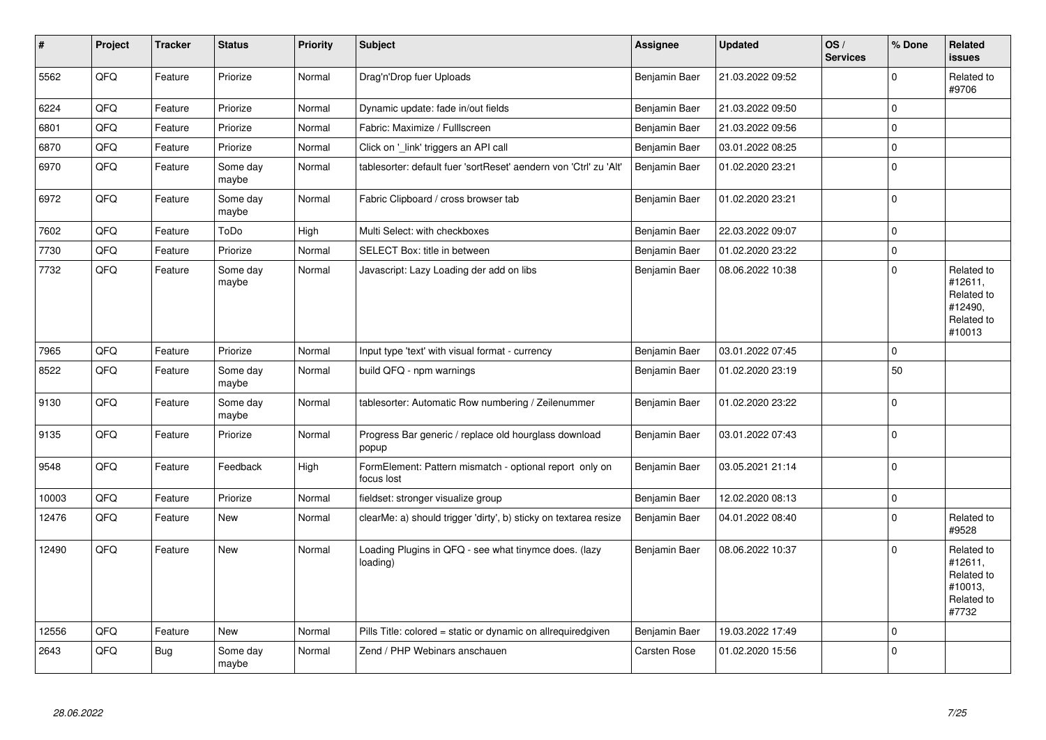| #     | Project | <b>Tracker</b> | <b>Status</b>     | <b>Priority</b> | <b>Subject</b>                                                        | <b>Assignee</b>     | <b>Updated</b>   | OS/<br><b>Services</b> | % Done      | Related<br>issues                                                      |
|-------|---------|----------------|-------------------|-----------------|-----------------------------------------------------------------------|---------------------|------------------|------------------------|-------------|------------------------------------------------------------------------|
| 5562  | QFQ     | Feature        | Priorize          | Normal          | Drag'n'Drop fuer Uploads                                              | Benjamin Baer       | 21.03.2022 09:52 |                        | $\Omega$    | Related to<br>#9706                                                    |
| 6224  | QFQ     | Feature        | Priorize          | Normal          | Dynamic update: fade in/out fields                                    | Benjamin Baer       | 21.03.2022 09:50 |                        | $\Omega$    |                                                                        |
| 6801  | QFQ     | Feature        | Priorize          | Normal          | Fabric: Maximize / Fulllscreen                                        | Benjamin Baer       | 21.03.2022 09:56 |                        | $\Omega$    |                                                                        |
| 6870  | QFQ     | Feature        | Priorize          | Normal          | Click on 'link' triggers an API call                                  | Benjamin Baer       | 03.01.2022 08:25 |                        | $\mathbf 0$ |                                                                        |
| 6970  | QFQ     | Feature        | Some day<br>maybe | Normal          | tablesorter: default fuer 'sortReset' aendern von 'Ctrl' zu 'Alt'     | Benjamin Baer       | 01.02.2020 23:21 |                        | $\Omega$    |                                                                        |
| 6972  | QFQ     | Feature        | Some day<br>maybe | Normal          | Fabric Clipboard / cross browser tab                                  | Benjamin Baer       | 01.02.2020 23:21 |                        | $\Omega$    |                                                                        |
| 7602  | QFQ     | Feature        | ToDo              | High            | Multi Select: with checkboxes                                         | Benjamin Baer       | 22.03.2022 09:07 |                        | $\mathbf 0$ |                                                                        |
| 7730  | QFQ     | Feature        | Priorize          | Normal          | SELECT Box: title in between                                          | Benjamin Baer       | 01.02.2020 23:22 |                        | $\mathbf 0$ |                                                                        |
| 7732  | QFQ     | Feature        | Some day<br>maybe | Normal          | Javascript: Lazy Loading der add on libs                              | Benjamin Baer       | 08.06.2022 10:38 |                        | $\Omega$    | Related to<br>#12611,<br>Related to<br>#12490,<br>Related to<br>#10013 |
| 7965  | QFQ     | Feature        | Priorize          | Normal          | Input type 'text' with visual format - currency                       | Benjamin Baer       | 03.01.2022 07:45 |                        | $\Omega$    |                                                                        |
| 8522  | QFQ     | Feature        | Some day<br>maybe | Normal          | build QFQ - npm warnings                                              | Benjamin Baer       | 01.02.2020 23:19 |                        | 50          |                                                                        |
| 9130  | QFG     | Feature        | Some day<br>maybe | Normal          | tablesorter: Automatic Row numbering / Zeilenummer                    | Benjamin Baer       | 01.02.2020 23:22 |                        | $\Omega$    |                                                                        |
| 9135  | QFQ     | Feature        | Priorize          | Normal          | Progress Bar generic / replace old hourglass download<br>popup        | Benjamin Baer       | 03.01.2022 07:43 |                        | $\Omega$    |                                                                        |
| 9548  | QFQ     | Feature        | Feedback          | High            | FormElement: Pattern mismatch - optional report only on<br>focus lost | Benjamin Baer       | 03.05.2021 21:14 |                        | $\Omega$    |                                                                        |
| 10003 | QFQ     | Feature        | Priorize          | Normal          | fieldset: stronger visualize group                                    | Benjamin Baer       | 12.02.2020 08:13 |                        | $\Omega$    |                                                                        |
| 12476 | QFQ     | Feature        | <b>New</b>        | Normal          | clearMe: a) should trigger 'dirty', b) sticky on textarea resize      | Benjamin Baer       | 04.01.2022 08:40 |                        | $\mathbf 0$ | Related to<br>#9528                                                    |
| 12490 | QFQ     | Feature        | <b>New</b>        | Normal          | Loading Plugins in QFQ - see what tinymce does. (lazy<br>loading)     | Benjamin Baer       | 08.06.2022 10:37 |                        | $\Omega$    | Related to<br>#12611,<br>Related to<br>#10013,<br>Related to<br>#7732  |
| 12556 | QFQ     | Feature        | <b>New</b>        | Normal          | Pills Title: colored = static or dynamic on allrequiredgiven          | Benjamin Baer       | 19.03.2022 17:49 |                        | $\mathbf 0$ |                                                                        |
| 2643  | QFQ     | Bug            | Some day<br>maybe | Normal          | Zend / PHP Webinars anschauen                                         | <b>Carsten Rose</b> | 01.02.2020 15:56 |                        | $\Omega$    |                                                                        |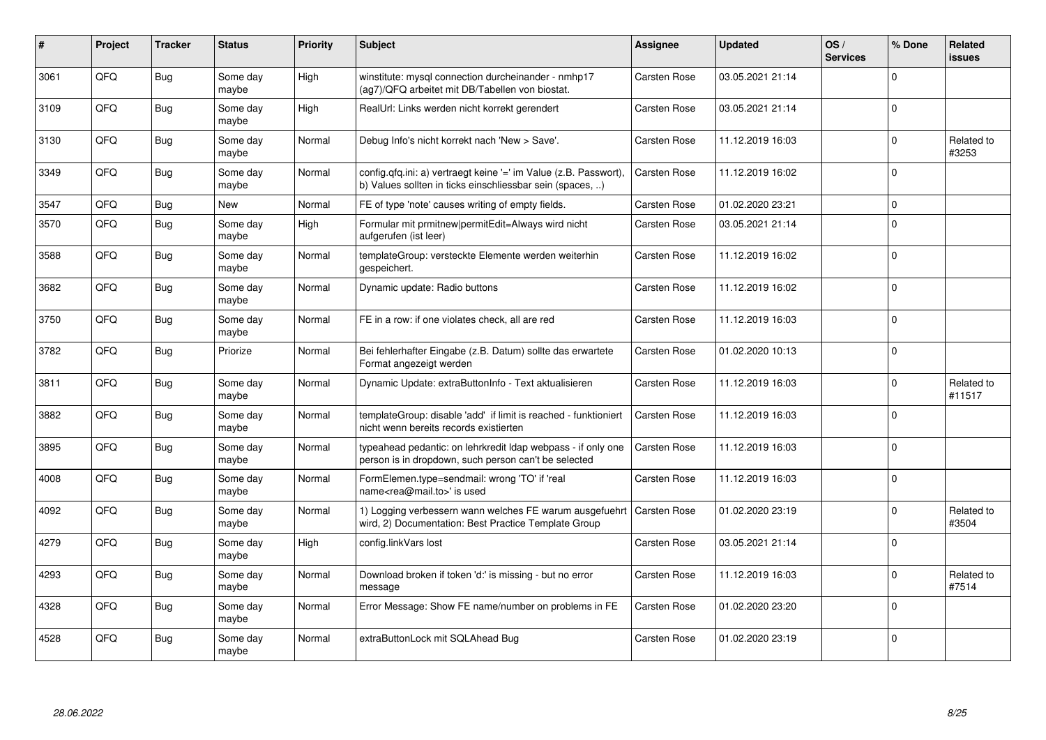| #    | Project | <b>Tracker</b> | <b>Status</b>     | <b>Priority</b> | <b>Subject</b>                                                                                                                | <b>Assignee</b>     | <b>Updated</b>   | OS/<br><b>Services</b> | % Done      | Related<br><b>issues</b> |
|------|---------|----------------|-------------------|-----------------|-------------------------------------------------------------------------------------------------------------------------------|---------------------|------------------|------------------------|-------------|--------------------------|
| 3061 | QFQ     | <b>Bug</b>     | Some day<br>maybe | High            | winstitute: mysql connection durcheinander - nmhp17<br>(ag7)/QFQ arbeitet mit DB/Tabellen von biostat.                        | <b>Carsten Rose</b> | 03.05.2021 21:14 |                        | $\Omega$    |                          |
| 3109 | QFQ     | Bug            | Some day<br>maybe | High            | RealUrl: Links werden nicht korrekt gerendert                                                                                 | <b>Carsten Rose</b> | 03.05.2021 21:14 |                        | $\Omega$    |                          |
| 3130 | QFQ     | Bug            | Some day<br>maybe | Normal          | Debug Info's nicht korrekt nach 'New > Save'.                                                                                 | <b>Carsten Rose</b> | 11.12.2019 16:03 |                        | $\Omega$    | Related to<br>#3253      |
| 3349 | QFQ     | Bug            | Some day<br>maybe | Normal          | config.qfq.ini: a) vertraegt keine '=' im Value (z.B. Passwort),<br>b) Values sollten in ticks einschliessbar sein (spaces, ) | <b>Carsten Rose</b> | 11.12.2019 16:02 |                        | $\mathbf 0$ |                          |
| 3547 | QFQ     | Bug            | New               | Normal          | FE of type 'note' causes writing of empty fields.                                                                             | <b>Carsten Rose</b> | 01.02.2020 23:21 |                        | $\Omega$    |                          |
| 3570 | QFQ     | Bug            | Some day<br>maybe | High            | Formular mit prmitnew permitEdit=Always wird nicht<br>aufgerufen (ist leer)                                                   | <b>Carsten Rose</b> | 03.05.2021 21:14 |                        | $\Omega$    |                          |
| 3588 | QFQ     | Bug            | Some day<br>maybe | Normal          | templateGroup: versteckte Elemente werden weiterhin<br>gespeichert.                                                           | <b>Carsten Rose</b> | 11.12.2019 16:02 |                        | $\Omega$    |                          |
| 3682 | QFQ     | Bug            | Some day<br>maybe | Normal          | Dynamic update: Radio buttons                                                                                                 | <b>Carsten Rose</b> | 11.12.2019 16:02 |                        | $\Omega$    |                          |
| 3750 | QFQ     | <b>Bug</b>     | Some day<br>maybe | Normal          | FE in a row: if one violates check, all are red                                                                               | <b>Carsten Rose</b> | 11.12.2019 16:03 |                        | $\mathbf 0$ |                          |
| 3782 | QFQ     | <b>Bug</b>     | Priorize          | Normal          | Bei fehlerhafter Eingabe (z.B. Datum) sollte das erwartete<br>Format angezeigt werden                                         | <b>Carsten Rose</b> | 01.02.2020 10:13 |                        | $\Omega$    |                          |
| 3811 | QFQ     | Bug            | Some day<br>maybe | Normal          | Dynamic Update: extraButtonInfo - Text aktualisieren                                                                          | <b>Carsten Rose</b> | 11.12.2019 16:03 |                        | $\Omega$    | Related to<br>#11517     |
| 3882 | QFQ     | <b>Bug</b>     | Some day<br>maybe | Normal          | templateGroup: disable 'add' if limit is reached - funktioniert<br>nicht wenn bereits records existierten                     | <b>Carsten Rose</b> | 11.12.2019 16:03 |                        | $\Omega$    |                          |
| 3895 | QFQ     | <b>Bug</b>     | Some day<br>maybe | Normal          | typeahead pedantic: on lehrkredit Idap webpass - if only one<br>person is in dropdown, such person can't be selected          | <b>Carsten Rose</b> | 11.12.2019 16:03 |                        | $\Omega$    |                          |
| 4008 | QFQ     | <b>Bug</b>     | Some day<br>maybe | Normal          | FormElemen.type=sendmail: wrong 'TO' if 'real<br>name <rea@mail.to>' is used</rea@mail.to>                                    | <b>Carsten Rose</b> | 11.12.2019 16:03 |                        | $\Omega$    |                          |
| 4092 | QFQ     | <b>Bug</b>     | Some day<br>maybe | Normal          | 1) Logging verbessern wann welches FE warum ausgefuehrt<br>wird, 2) Documentation: Best Practice Template Group               | <b>Carsten Rose</b> | 01.02.2020 23:19 |                        | $\Omega$    | Related to<br>#3504      |
| 4279 | QFQ     | Bug            | Some day<br>maybe | High            | config.linkVars lost                                                                                                          | <b>Carsten Rose</b> | 03.05.2021 21:14 |                        | $\Omega$    |                          |
| 4293 | QFQ     | Bug            | Some day<br>maybe | Normal          | Download broken if token 'd:' is missing - but no error<br>message                                                            | Carsten Rose        | 11.12.2019 16:03 |                        | $\Omega$    | Related to<br>#7514      |
| 4328 | QFQ     | <b>Bug</b>     | Some day<br>maybe | Normal          | Error Message: Show FE name/number on problems in FE                                                                          | <b>Carsten Rose</b> | 01.02.2020 23:20 |                        | $\Omega$    |                          |
| 4528 | QFQ     | <b>Bug</b>     | Some day<br>maybe | Normal          | extraButtonLock mit SQLAhead Bug                                                                                              | <b>Carsten Rose</b> | 01.02.2020 23:19 |                        | $\mathbf 0$ |                          |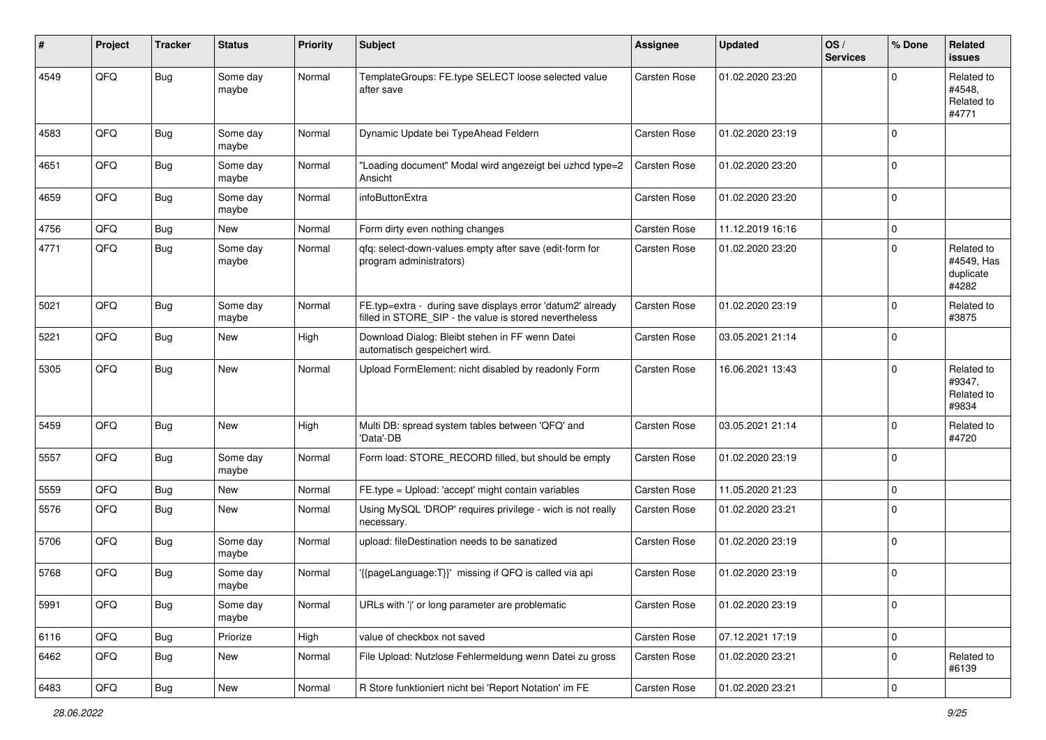| #    | Project | <b>Tracker</b> | <b>Status</b>     | <b>Priority</b> | <b>Subject</b>                                                                                                       | <b>Assignee</b>     | <b>Updated</b>   | OS/<br><b>Services</b> | % Done      | Related<br><b>issues</b>                       |
|------|---------|----------------|-------------------|-----------------|----------------------------------------------------------------------------------------------------------------------|---------------------|------------------|------------------------|-------------|------------------------------------------------|
| 4549 | QFQ     | <b>Bug</b>     | Some day<br>maybe | Normal          | TemplateGroups: FE.type SELECT loose selected value<br>after save                                                    | Carsten Rose        | 01.02.2020 23:20 |                        | $\Omega$    | Related to<br>#4548.<br>Related to<br>#4771    |
| 4583 | QFQ     | <b>Bug</b>     | Some day<br>maybe | Normal          | Dynamic Update bei TypeAhead Feldern                                                                                 | <b>Carsten Rose</b> | 01.02.2020 23:19 |                        | $\Omega$    |                                                |
| 4651 | QFQ     | <b>Bug</b>     | Some day<br>maybe | Normal          | 'Loading document" Modal wird angezeigt bei uzhcd type=2<br>Ansicht                                                  | <b>Carsten Rose</b> | 01.02.2020 23:20 |                        | $\mathbf 0$ |                                                |
| 4659 | QFQ     | <b>Bug</b>     | Some day<br>maybe | Normal          | infoButtonExtra                                                                                                      | <b>Carsten Rose</b> | 01.02.2020 23:20 |                        | 0           |                                                |
| 4756 | QFQ     | <b>Bug</b>     | New               | Normal          | Form dirty even nothing changes                                                                                      | <b>Carsten Rose</b> | 11.12.2019 16:16 |                        | $\mathbf 0$ |                                                |
| 4771 | QFQ     | <b>Bug</b>     | Some day<br>maybe | Normal          | qfq: select-down-values empty after save (edit-form for<br>program administrators)                                   | <b>Carsten Rose</b> | 01.02.2020 23:20 |                        | $\Omega$    | Related to<br>#4549, Has<br>duplicate<br>#4282 |
| 5021 | QFQ     | <b>Bug</b>     | Some day<br>maybe | Normal          | FE.typ=extra - during save displays error 'datum2' already<br>filled in STORE_SIP - the value is stored nevertheless | <b>Carsten Rose</b> | 01.02.2020 23:19 |                        | $\mathbf 0$ | Related to<br>#3875                            |
| 5221 | QFQ     | <b>Bug</b>     | New               | High            | Download Dialog: Bleibt stehen in FF wenn Datei<br>automatisch gespeichert wird.                                     | Carsten Rose        | 03.05.2021 21:14 |                        | $\Omega$    |                                                |
| 5305 | QFQ     | <b>Bug</b>     | <b>New</b>        | Normal          | Upload FormElement: nicht disabled by readonly Form                                                                  | <b>Carsten Rose</b> | 16.06.2021 13:43 |                        | $\Omega$    | Related to<br>#9347,<br>Related to<br>#9834    |
| 5459 | QFQ     | Bug            | New               | High            | Multi DB: spread system tables between 'QFQ' and<br>'Data'-DB                                                        | <b>Carsten Rose</b> | 03.05.2021 21:14 |                        | $\Omega$    | Related to<br>#4720                            |
| 5557 | QFQ     | <b>Bug</b>     | Some day<br>maybe | Normal          | Form load: STORE_RECORD filled, but should be empty                                                                  | <b>Carsten Rose</b> | 01.02.2020 23:19 |                        | $\Omega$    |                                                |
| 5559 | QFQ     | <b>Bug</b>     | <b>New</b>        | Normal          | FE.type = Upload: 'accept' might contain variables                                                                   | <b>Carsten Rose</b> | 11.05.2020 21:23 |                        | $\Omega$    |                                                |
| 5576 | QFQ     | <b>Bug</b>     | New               | Normal          | Using MySQL 'DROP' requires privilege - wich is not really<br>necessary.                                             | <b>Carsten Rose</b> | 01.02.2020 23:21 |                        | 0           |                                                |
| 5706 | QFQ     | <b>Bug</b>     | Some day<br>maybe | Normal          | upload: fileDestination needs to be sanatized                                                                        | Carsten Rose        | 01.02.2020 23:19 |                        | 0           |                                                |
| 5768 | QFQ     | <b>Bug</b>     | Some day<br>maybe | Normal          | {{pageLanguage:T}}' missing if QFQ is called via api                                                                 | <b>Carsten Rose</b> | 01.02.2020 23:19 |                        | $\Omega$    |                                                |
| 5991 | QFQ     | <b>Bug</b>     | Some day<br>maybe | Normal          | URLs with ' ' or long parameter are problematic                                                                      | Carsten Rose        | 01.02.2020 23:19 |                        | 0           |                                                |
| 6116 | QFQ     | <b>Bug</b>     | Priorize          | High            | value of checkbox not saved                                                                                          | Carsten Rose        | 07.12.2021 17:19 |                        | $\mathbf 0$ |                                                |
| 6462 | QFQ     | Bug            | New               | Normal          | File Upload: Nutzlose Fehlermeldung wenn Datei zu gross                                                              | <b>Carsten Rose</b> | 01.02.2020 23:21 |                        | 0           | Related to<br>#6139                            |
| 6483 | QFQ     | Bug            | New               | Normal          | R Store funktioniert nicht bei 'Report Notation' im FE                                                               | Carsten Rose        | 01.02.2020 23:21 |                        | 0           |                                                |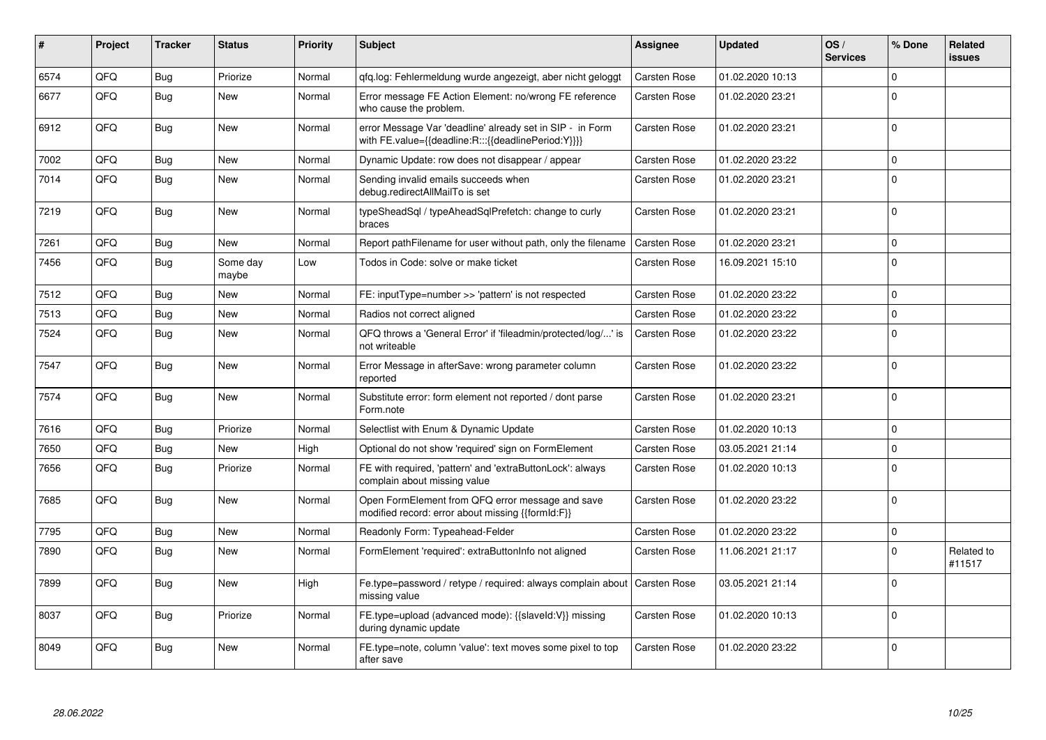| #    | Project | <b>Tracker</b> | <b>Status</b>     | <b>Priority</b> | <b>Subject</b>                                                                                                   | Assignee            | <b>Updated</b>   | OS/<br><b>Services</b> | % Done         | <b>Related</b><br><b>issues</b> |
|------|---------|----------------|-------------------|-----------------|------------------------------------------------------------------------------------------------------------------|---------------------|------------------|------------------------|----------------|---------------------------------|
| 6574 | QFQ     | Bug            | Priorize          | Normal          | gfg.log: Fehlermeldung wurde angezeigt, aber nicht geloggt                                                       | <b>Carsten Rose</b> | 01.02.2020 10:13 |                        | 0              |                                 |
| 6677 | QFQ     | Bug            | New               | Normal          | Error message FE Action Element: no/wrong FE reference<br>who cause the problem.                                 | Carsten Rose        | 01.02.2020 23:21 |                        | $\mathbf 0$    |                                 |
| 6912 | QFQ     | Bug            | <b>New</b>        | Normal          | error Message Var 'deadline' already set in SIP - in Form<br>with FE.value={{deadline:R:::{{deadlinePeriod:Y}}}} | Carsten Rose        | 01.02.2020 23:21 |                        | 0              |                                 |
| 7002 | QFQ     | Bug            | <b>New</b>        | Normal          | Dynamic Update: row does not disappear / appear                                                                  | <b>Carsten Rose</b> | 01.02.2020 23:22 |                        | $\mathbf 0$    |                                 |
| 7014 | QFQ     | Bug            | <b>New</b>        | Normal          | Sending invalid emails succeeds when<br>debug.redirectAllMailTo is set                                           | Carsten Rose        | 01.02.2020 23:21 |                        | $\Omega$       |                                 |
| 7219 | QFQ     | Bug            | <b>New</b>        | Normal          | typeSheadSql / typeAheadSqlPrefetch: change to curly<br>braces                                                   | Carsten Rose        | 01.02.2020 23:21 |                        | $\mathbf 0$    |                                 |
| 7261 | QFQ     | <b>Bug</b>     | <b>New</b>        | Normal          | Report pathFilename for user without path, only the filename                                                     | <b>Carsten Rose</b> | 01.02.2020 23:21 |                        | 0              |                                 |
| 7456 | QFQ     | Bug            | Some day<br>maybe | Low             | Todos in Code: solve or make ticket                                                                              | Carsten Rose        | 16.09.2021 15:10 |                        | $\mathbf 0$    |                                 |
| 7512 | QFQ     | Bug            | <b>New</b>        | Normal          | FE: inputType=number >> 'pattern' is not respected                                                               | Carsten Rose        | 01.02.2020 23:22 |                        | $\mathbf{0}$   |                                 |
| 7513 | QFQ     | Bug            | <b>New</b>        | Normal          | Radios not correct aligned                                                                                       | <b>Carsten Rose</b> | 01.02.2020 23:22 |                        | $\mathbf 0$    |                                 |
| 7524 | QFQ     | <b>Bug</b>     | <b>New</b>        | Normal          | QFQ throws a 'General Error' if 'fileadmin/protected/log/' is<br>not writeable                                   | Carsten Rose        | 01.02.2020 23:22 |                        | $\Omega$       |                                 |
| 7547 | QFQ     | Bug            | <b>New</b>        | Normal          | Error Message in afterSave: wrong parameter column<br>reported                                                   | <b>Carsten Rose</b> | 01.02.2020 23:22 |                        | 0              |                                 |
| 7574 | QFQ     | <b>Bug</b>     | <b>New</b>        | Normal          | Substitute error: form element not reported / dont parse<br>Form.note                                            | Carsten Rose        | 01.02.2020 23:21 |                        | 0              |                                 |
| 7616 | QFQ     | Bug            | Priorize          | Normal          | Selectlist with Enum & Dynamic Update                                                                            | <b>Carsten Rose</b> | 01.02.2020 10:13 |                        | $\mathbf 0$    |                                 |
| 7650 | QFQ     | Bug            | <b>New</b>        | High            | Optional do not show 'required' sign on FormElement                                                              | <b>Carsten Rose</b> | 03.05.2021 21:14 |                        | $\mathbf 0$    |                                 |
| 7656 | QFQ     | Bug            | Priorize          | Normal          | FE with required, 'pattern' and 'extraButtonLock': always<br>complain about missing value                        | Carsten Rose        | 01.02.2020 10:13 |                        | 0              |                                 |
| 7685 | QFQ     | <b>Bug</b>     | <b>New</b>        | Normal          | Open FormElement from QFQ error message and save<br>modified record: error about missing {{formId:F}}            | Carsten Rose        | 01.02.2020 23:22 |                        | $\mathbf 0$    |                                 |
| 7795 | QFQ     | <b>Bug</b>     | New               | Normal          | Readonly Form: Typeahead-Felder                                                                                  | Carsten Rose        | 01.02.2020 23:22 |                        | $\overline{0}$ |                                 |
| 7890 | QFQ     | <b>Bug</b>     | <b>New</b>        | Normal          | FormElement 'required': extraButtonInfo not aligned                                                              | Carsten Rose        | 11.06.2021 21:17 |                        | $\Omega$       | Related to<br>#11517            |
| 7899 | QFQ     | <b>Bug</b>     | <b>New</b>        | High            | Fe.type=password / retype / required: always complain about<br>missing value                                     | <b>Carsten Rose</b> | 03.05.2021 21:14 |                        | 0              |                                 |
| 8037 | QFQ     | <b>Bug</b>     | Priorize          | Normal          | FE.type=upload (advanced mode): {{slaveld:V}} missing<br>during dynamic update                                   | Carsten Rose        | 01.02.2020 10:13 |                        | $\Omega$       |                                 |
| 8049 | QFQ     | Bug            | <b>New</b>        | Normal          | FE.type=note, column 'value': text moves some pixel to top<br>after save                                         | Carsten Rose        | 01.02.2020 23:22 |                        | 0              |                                 |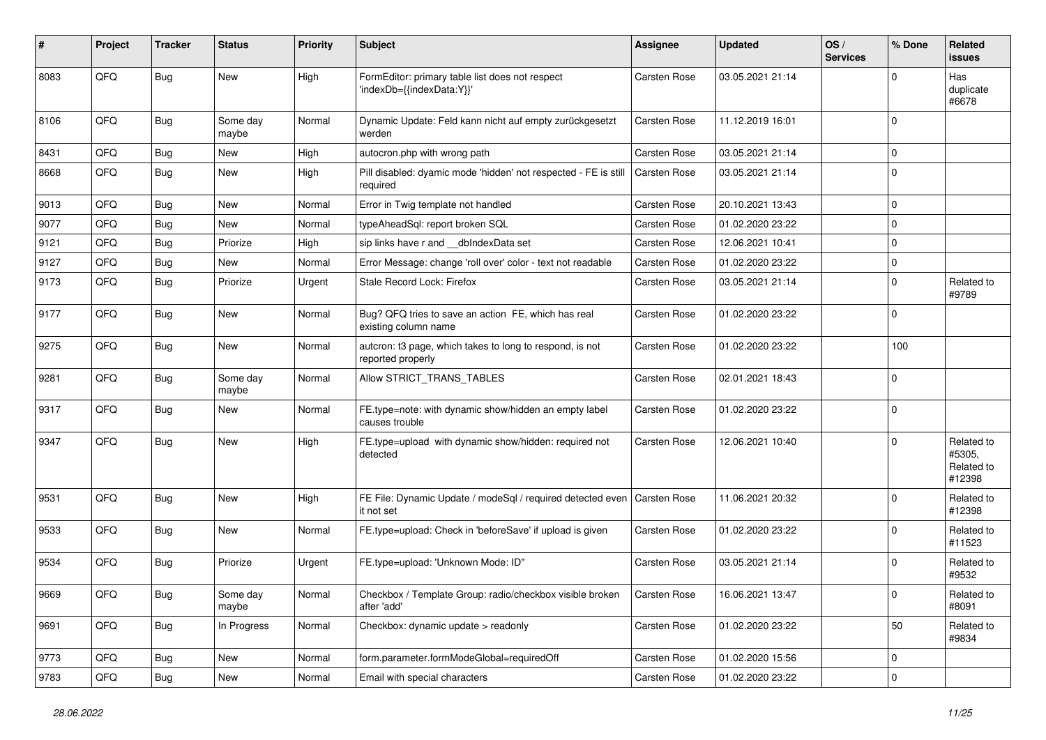| #    | Project | <b>Tracker</b> | <b>Status</b>     | <b>Priority</b> | Subject                                                                       | <b>Assignee</b>     | <b>Updated</b>   | OS/<br><b>Services</b> | % Done      | Related<br>issues                            |
|------|---------|----------------|-------------------|-----------------|-------------------------------------------------------------------------------|---------------------|------------------|------------------------|-------------|----------------------------------------------|
| 8083 | QFQ     | <b>Bug</b>     | New               | High            | FormEditor: primary table list does not respect<br>'indexDb={{indexData:Y}}'  | Carsten Rose        | 03.05.2021 21:14 |                        | 0           | Has<br>duplicate<br>#6678                    |
| 8106 | QFQ     | <b>Bug</b>     | Some day<br>maybe | Normal          | Dynamic Update: Feld kann nicht auf empty zurückgesetzt<br>werden             | <b>Carsten Rose</b> | 11.12.2019 16:01 |                        | $\Omega$    |                                              |
| 8431 | QFQ     | <b>Bug</b>     | New               | High            | autocron.php with wrong path                                                  | Carsten Rose        | 03.05.2021 21:14 |                        | $\Omega$    |                                              |
| 8668 | QFQ     | Bug            | <b>New</b>        | High            | Pill disabled: dyamic mode 'hidden' not respected - FE is still<br>required   | <b>Carsten Rose</b> | 03.05.2021 21:14 |                        | $\mathbf 0$ |                                              |
| 9013 | QFQ     | <b>Bug</b>     | New               | Normal          | Error in Twig template not handled                                            | Carsten Rose        | 20.10.2021 13:43 |                        | $\Omega$    |                                              |
| 9077 | QFQ     | <b>Bug</b>     | <b>New</b>        | Normal          | typeAheadSql: report broken SQL                                               | Carsten Rose        | 01.02.2020 23:22 |                        | $\Omega$    |                                              |
| 9121 | QFQ     | <b>Bug</b>     | Priorize          | High            | sip links have r and __dbIndexData set                                        | Carsten Rose        | 12.06.2021 10:41 |                        | $\Omega$    |                                              |
| 9127 | QFQ     | Bug            | New               | Normal          | Error Message: change 'roll over' color - text not readable                   | Carsten Rose        | 01.02.2020 23:22 |                        | 0           |                                              |
| 9173 | QFQ     | <b>Bug</b>     | Priorize          | Urgent          | Stale Record Lock: Firefox                                                    | <b>Carsten Rose</b> | 03.05.2021 21:14 |                        | 0           | Related to<br>#9789                          |
| 9177 | QFQ     | <b>Bug</b>     | New               | Normal          | Bug? QFQ tries to save an action FE, which has real<br>existing column name   | Carsten Rose        | 01.02.2020 23:22 |                        | $\Omega$    |                                              |
| 9275 | QFQ     | <b>Bug</b>     | <b>New</b>        | Normal          | autcron: t3 page, which takes to long to respond, is not<br>reported properly | <b>Carsten Rose</b> | 01.02.2020 23:22 |                        | 100         |                                              |
| 9281 | QFQ     | Bug            | Some day<br>maybe | Normal          | Allow STRICT_TRANS_TABLES                                                     | <b>Carsten Rose</b> | 02.01.2021 18:43 |                        | $\Omega$    |                                              |
| 9317 | QFQ     | <b>Bug</b>     | New               | Normal          | FE.type=note: with dynamic show/hidden an empty label<br>causes trouble       | <b>Carsten Rose</b> | 01.02.2020 23:22 |                        | $\Omega$    |                                              |
| 9347 | QFQ     | <b>Bug</b>     | New               | High            | FE.type=upload with dynamic show/hidden: required not<br>detected             | <b>Carsten Rose</b> | 12.06.2021 10:40 |                        | $\Omega$    | Related to<br>#5305.<br>Related to<br>#12398 |
| 9531 | QFQ     | <b>Bug</b>     | New               | High            | FE File: Dynamic Update / modeSql / required detected even<br>it not set      | <b>Carsten Rose</b> | 11.06.2021 20:32 |                        | 0           | Related to<br>#12398                         |
| 9533 | QFQ     | Bug            | New               | Normal          | FE.type=upload: Check in 'beforeSave' if upload is given                      | Carsten Rose        | 01.02.2020 23:22 |                        | $\Omega$    | Related to<br>#11523                         |
| 9534 | QFQ     | Bug            | Priorize          | Urgent          | FE.type=upload: 'Unknown Mode: ID"                                            | Carsten Rose        | 03.05.2021 21:14 |                        | $\Omega$    | Related to<br>#9532                          |
| 9669 | QFQ     | <b>Bug</b>     | Some day<br>maybe | Normal          | Checkbox / Template Group: radio/checkbox visible broken<br>after 'add'       | Carsten Rose        | 16.06.2021 13:47 |                        | $\mathbf 0$ | Related to<br>#8091                          |
| 9691 | QFQ     | Bug            | In Progress       | Normal          | Checkbox: dynamic update > readonly                                           | Carsten Rose        | 01.02.2020 23:22 |                        | 50          | Related to<br>#9834                          |
| 9773 | QFQ     | <b>Bug</b>     | New               | Normal          | form.parameter.formModeGlobal=requiredOff                                     | Carsten Rose        | 01.02.2020 15:56 |                        | 0           |                                              |
| 9783 | QFQ     | Bug            | New               | Normal          | Email with special characters                                                 | Carsten Rose        | 01.02.2020 23:22 |                        | 0           |                                              |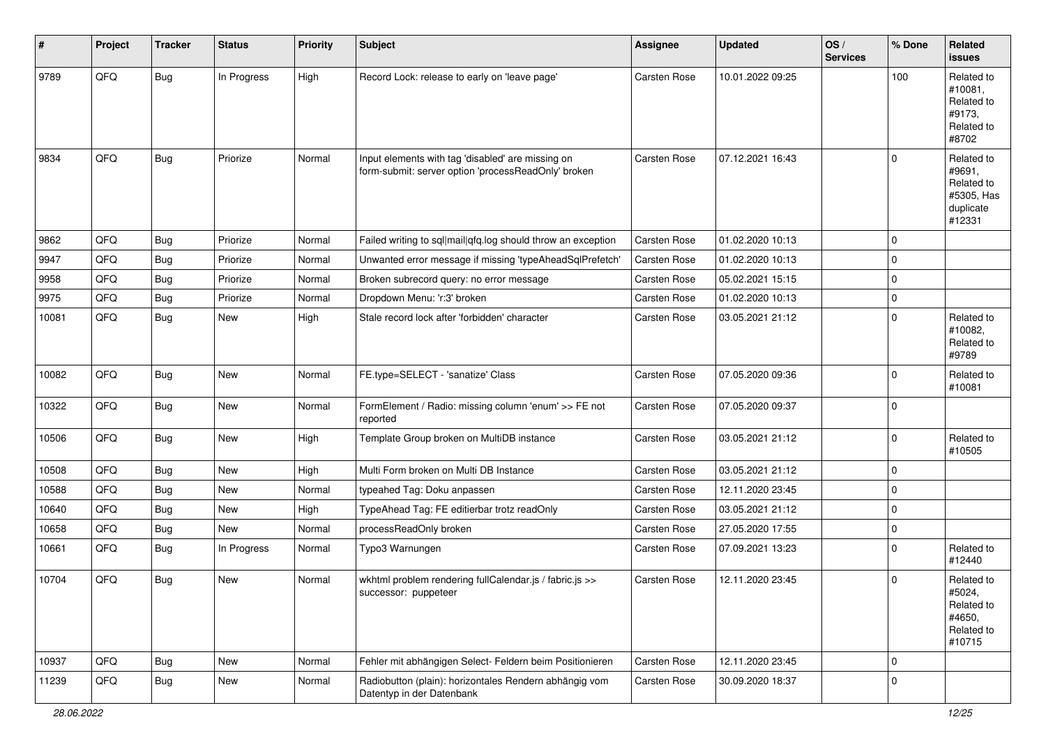| $\sharp$ | Project | <b>Tracker</b> | <b>Status</b> | <b>Priority</b> | Subject                                                                                                  | <b>Assignee</b> | <b>Updated</b>   | OS/<br><b>Services</b> | % Done      | Related<br><b>issues</b>                                                |
|----------|---------|----------------|---------------|-----------------|----------------------------------------------------------------------------------------------------------|-----------------|------------------|------------------------|-------------|-------------------------------------------------------------------------|
| 9789     | QFQ     | <b>Bug</b>     | In Progress   | High            | Record Lock: release to early on 'leave page'                                                            | Carsten Rose    | 10.01.2022 09:25 |                        | 100         | Related to<br>#10081,<br>Related to<br>#9173,<br>Related to<br>#8702    |
| 9834     | QFQ     | <b>Bug</b>     | Priorize      | Normal          | Input elements with tag 'disabled' are missing on<br>form-submit: server option 'processReadOnly' broken | Carsten Rose    | 07.12.2021 16:43 |                        | $\Omega$    | Related to<br>#9691,<br>Related to<br>#5305, Has<br>duplicate<br>#12331 |
| 9862     | QFQ     | <b>Bug</b>     | Priorize      | Normal          | Failed writing to sql mail qfq.log should throw an exception                                             | Carsten Rose    | 01.02.2020 10:13 |                        | $\mathbf 0$ |                                                                         |
| 9947     | QFQ     | <b>Bug</b>     | Priorize      | Normal          | Unwanted error message if missing 'typeAheadSqlPrefetch'                                                 | Carsten Rose    | 01.02.2020 10:13 |                        | $\mathbf 0$ |                                                                         |
| 9958     | QFQ     | <b>Bug</b>     | Priorize      | Normal          | Broken subrecord query: no error message                                                                 | Carsten Rose    | 05.02.2021 15:15 |                        | $\mathbf 0$ |                                                                         |
| 9975     | QFQ     | <b>Bug</b>     | Priorize      | Normal          | Dropdown Menu: 'r:3' broken                                                                              | Carsten Rose    | 01.02.2020 10:13 |                        | $\mathbf 0$ |                                                                         |
| 10081    | QFQ     | Bug            | New           | High            | Stale record lock after 'forbidden' character                                                            | Carsten Rose    | 03.05.2021 21:12 |                        | $\mathbf 0$ | Related to<br>#10082,<br>Related to<br>#9789                            |
| 10082    | QFQ     | <b>Bug</b>     | New           | Normal          | FE.type=SELECT - 'sanatize' Class                                                                        | Carsten Rose    | 07.05.2020 09:36 |                        | $\mathbf 0$ | Related to<br>#10081                                                    |
| 10322    | QFQ     | <b>Bug</b>     | <b>New</b>    | Normal          | FormElement / Radio: missing column 'enum' >> FE not<br>reported                                         | Carsten Rose    | 07.05.2020 09:37 |                        | $\mathbf 0$ |                                                                         |
| 10506    | QFQ     | <b>Bug</b>     | New           | High            | Template Group broken on MultiDB instance                                                                | Carsten Rose    | 03.05.2021 21:12 |                        | $\mathbf 0$ | Related to<br>#10505                                                    |
| 10508    | QFQ     | <b>Bug</b>     | <b>New</b>    | High            | Multi Form broken on Multi DB Instance                                                                   | Carsten Rose    | 03.05.2021 21:12 |                        | $\mathbf 0$ |                                                                         |
| 10588    | QFQ     | <b>Bug</b>     | <b>New</b>    | Normal          | typeahed Tag: Doku anpassen                                                                              | Carsten Rose    | 12.11.2020 23:45 |                        | $\mathbf 0$ |                                                                         |
| 10640    | QFQ     | <b>Bug</b>     | New           | High            | TypeAhead Tag: FE editierbar trotz readOnly                                                              | Carsten Rose    | 03.05.2021 21:12 |                        | $\mathbf 0$ |                                                                         |
| 10658    | QFQ     | <b>Bug</b>     | New           | Normal          | processReadOnly broken                                                                                   | Carsten Rose    | 27.05.2020 17:55 |                        | $\mathbf 0$ |                                                                         |
| 10661    | QFQ     | <b>Bug</b>     | In Progress   | Normal          | Typo3 Warnungen                                                                                          | Carsten Rose    | 07.09.2021 13:23 |                        | $\mathbf 0$ | Related to<br>#12440                                                    |
| 10704    | QFQ     | <b>Bug</b>     | <b>New</b>    | Normal          | wkhtml problem rendering fullCalendar.js / fabric.js >><br>successor: puppeteer                          | Carsten Rose    | 12.11.2020 23:45 |                        | $\mathbf 0$ | Related to<br>#5024,<br>Related to<br>#4650,<br>Related to<br>#10715    |
| 10937    | QFQ     | Bug            | New           | Normal          | Fehler mit abhängigen Select- Feldern beim Positionieren                                                 | Carsten Rose    | 12.11.2020 23:45 |                        | $\mathbf 0$ |                                                                         |
| 11239    | QFQ     | Bug            | New           | Normal          | Radiobutton (plain): horizontales Rendern abhängig vom<br>Datentyp in der Datenbank                      | Carsten Rose    | 30.09.2020 18:37 |                        | $\mathbf 0$ |                                                                         |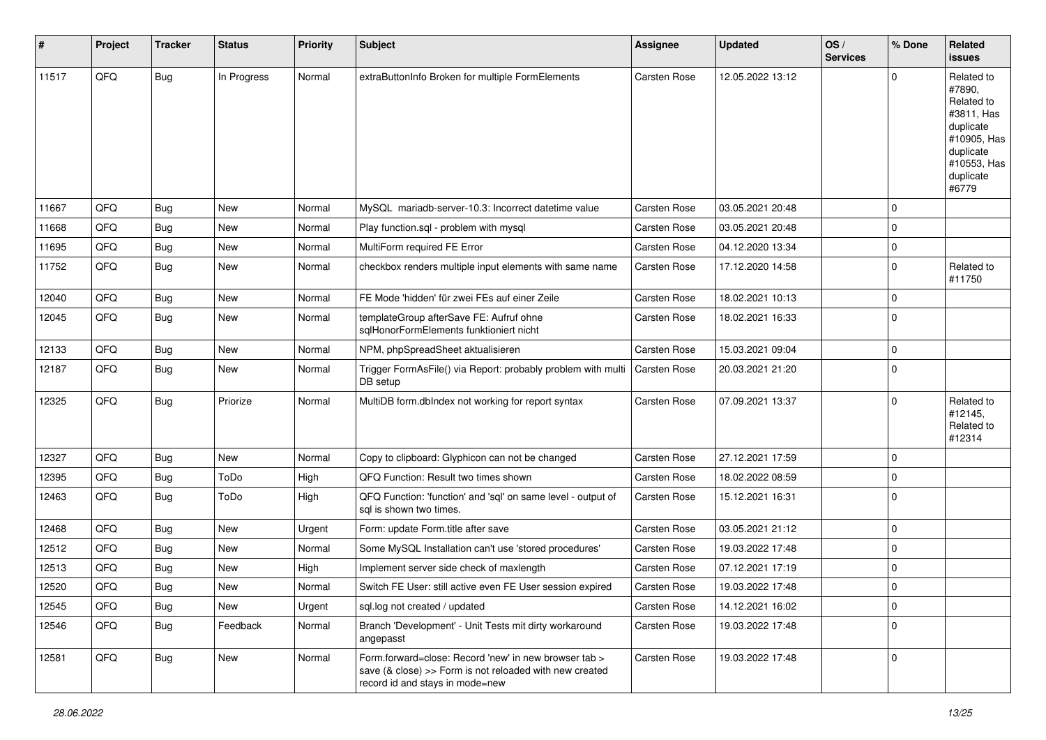| $\vert$ # | Project | <b>Tracker</b> | <b>Status</b> | <b>Priority</b> | <b>Subject</b>                                                                                                                                      | <b>Assignee</b>     | <b>Updated</b>   | OS/<br><b>Services</b> | % Done      | <b>Related</b><br>issues                                                                                                       |
|-----------|---------|----------------|---------------|-----------------|-----------------------------------------------------------------------------------------------------------------------------------------------------|---------------------|------------------|------------------------|-------------|--------------------------------------------------------------------------------------------------------------------------------|
| 11517     | QFQ     | Bug            | In Progress   | Normal          | extraButtonInfo Broken for multiple FormElements                                                                                                    | <b>Carsten Rose</b> | 12.05.2022 13:12 |                        | 0           | Related to<br>#7890,<br>Related to<br>#3811, Has<br>duplicate<br>#10905, Has<br>duplicate<br>#10553, Has<br>duplicate<br>#6779 |
| 11667     | QFQ     | Bug            | <b>New</b>    | Normal          | MySQL mariadb-server-10.3: Incorrect datetime value                                                                                                 | <b>Carsten Rose</b> | 03.05.2021 20:48 |                        | 0           |                                                                                                                                |
| 11668     | QFQ     | Bug            | <b>New</b>    | Normal          | Play function.sql - problem with mysql                                                                                                              | Carsten Rose        | 03.05.2021 20:48 |                        | 0           |                                                                                                                                |
| 11695     | QFQ     | Bug            | <b>New</b>    | Normal          | MultiForm required FE Error                                                                                                                         | <b>Carsten Rose</b> | 04.12.2020 13:34 |                        | $\mathbf 0$ |                                                                                                                                |
| 11752     | QFQ     | Bug            | New           | Normal          | checkbox renders multiple input elements with same name                                                                                             | Carsten Rose        | 17.12.2020 14:58 |                        | $\Omega$    | Related to<br>#11750                                                                                                           |
| 12040     | QFQ     | Bug            | <b>New</b>    | Normal          | FE Mode 'hidden' für zwei FEs auf einer Zeile                                                                                                       | <b>Carsten Rose</b> | 18.02.2021 10:13 |                        | $\Omega$    |                                                                                                                                |
| 12045     | QFQ     | Bug            | New           | Normal          | templateGroup afterSave FE: Aufruf ohne<br>sqlHonorFormElements funktioniert nicht                                                                  | Carsten Rose        | 18.02.2021 16:33 |                        | $\mathbf 0$ |                                                                                                                                |
| 12133     | QFQ     | Bug            | New           | Normal          | NPM, phpSpreadSheet aktualisieren                                                                                                                   | Carsten Rose        | 15.03.2021 09:04 |                        | 0           |                                                                                                                                |
| 12187     | QFQ     | <b>Bug</b>     | New           | Normal          | Trigger FormAsFile() via Report: probably problem with multi<br>DB setup                                                                            | Carsten Rose        | 20.03.2021 21:20 |                        | $\Omega$    |                                                                                                                                |
| 12325     | QFQ     | Bug            | Priorize      | Normal          | MultiDB form.dblndex not working for report syntax                                                                                                  | <b>Carsten Rose</b> | 07.09.2021 13:37 |                        | 0           | Related to<br>#12145,<br>Related to<br>#12314                                                                                  |
| 12327     | QFQ     | Bug            | New           | Normal          | Copy to clipboard: Glyphicon can not be changed                                                                                                     | <b>Carsten Rose</b> | 27.12.2021 17:59 |                        | $\Omega$    |                                                                                                                                |
| 12395     | QFQ     | Bug            | ToDo          | High            | QFQ Function: Result two times shown                                                                                                                | <b>Carsten Rose</b> | 18.02.2022 08:59 |                        | $\Omega$    |                                                                                                                                |
| 12463     | QFQ     | Bug            | ToDo          | High            | QFQ Function: 'function' and 'sql' on same level - output of<br>sql is shown two times.                                                             | <b>Carsten Rose</b> | 15.12.2021 16:31 |                        | $\mathbf 0$ |                                                                                                                                |
| 12468     | QFQ     | <b>Bug</b>     | <b>New</b>    | Urgent          | Form: update Form.title after save                                                                                                                  | Carsten Rose        | 03.05.2021 21:12 |                        | $\Omega$    |                                                                                                                                |
| 12512     | QFQ     | <b>Bug</b>     | <b>New</b>    | Normal          | Some MySQL Installation can't use 'stored procedures'                                                                                               | Carsten Rose        | 19.03.2022 17:48 |                        | $\mathbf 0$ |                                                                                                                                |
| 12513     | QFQ     | <b>Bug</b>     | New           | High            | Implement server side check of maxlength                                                                                                            | <b>Carsten Rose</b> | 07.12.2021 17:19 |                        | $\mathbf 0$ |                                                                                                                                |
| 12520     | QFQ     | Bug            | New           | Normal          | Switch FE User: still active even FE User session expired                                                                                           | <b>Carsten Rose</b> | 19.03.2022 17:48 |                        | $\Omega$    |                                                                                                                                |
| 12545     | QFQ     | Bug            | New           | Urgent          | sql.log not created / updated                                                                                                                       | Carsten Rose        | 14.12.2021 16:02 |                        | $\mathbf 0$ |                                                                                                                                |
| 12546     | QFQ     | <b>Bug</b>     | Feedback      | Normal          | Branch 'Development' - Unit Tests mit dirty workaround<br>angepasst                                                                                 | <b>Carsten Rose</b> | 19.03.2022 17:48 |                        | $\Omega$    |                                                                                                                                |
| 12581     | QFQ     | <b>Bug</b>     | New           | Normal          | Form forward=close: Record 'new' in new browser tab ><br>save (& close) >> Form is not reloaded with new created<br>record id and stays in mode=new | <b>Carsten Rose</b> | 19.03.2022 17:48 |                        | $\mathbf 0$ |                                                                                                                                |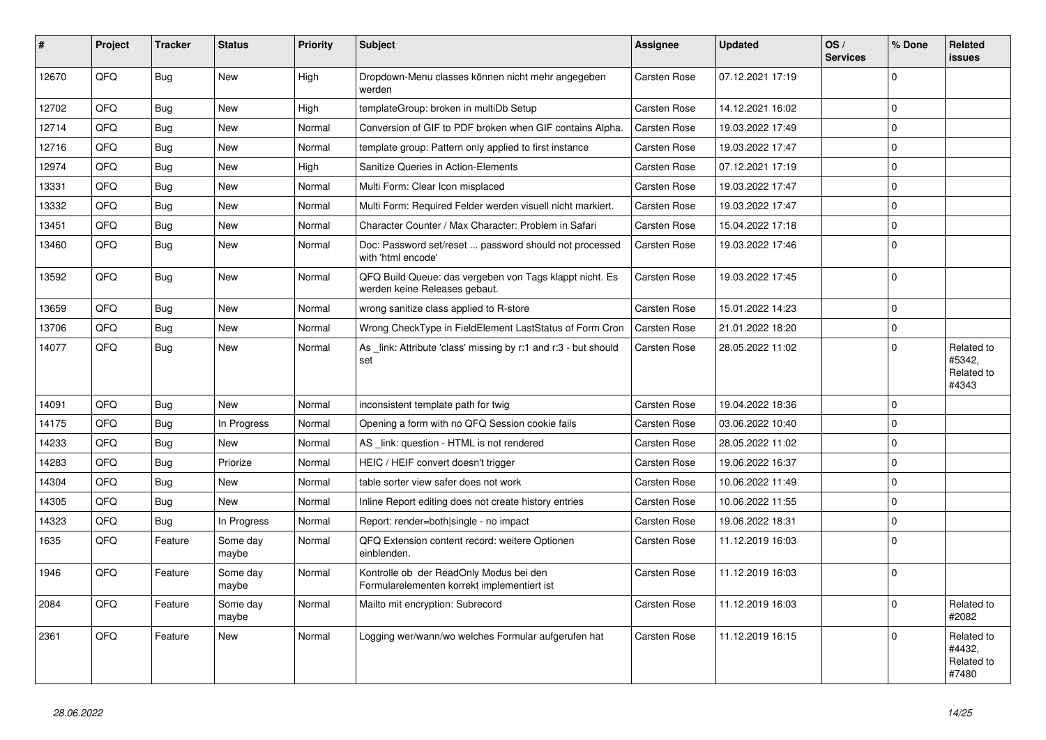| #     | Project | <b>Tracker</b> | <b>Status</b>     | <b>Priority</b> | <b>Subject</b>                                                                           | Assignee            | <b>Updated</b>   | OS/<br><b>Services</b> | % Done      | Related<br>issues                           |
|-------|---------|----------------|-------------------|-----------------|------------------------------------------------------------------------------------------|---------------------|------------------|------------------------|-------------|---------------------------------------------|
| 12670 | QFQ     | <b>Bug</b>     | <b>New</b>        | High            | Dropdown-Menu classes können nicht mehr angegeben<br>werden                              | <b>Carsten Rose</b> | 07.12.2021 17:19 |                        | $\Omega$    |                                             |
| 12702 | QFQ     | Bug            | <b>New</b>        | High            | templateGroup: broken in multiDb Setup                                                   | <b>Carsten Rose</b> | 14.12.2021 16:02 |                        | 0           |                                             |
| 12714 | QFQ     | Bug            | <b>New</b>        | Normal          | Conversion of GIF to PDF broken when GIF contains Alpha.                                 | <b>Carsten Rose</b> | 19.03.2022 17:49 |                        | $\Omega$    |                                             |
| 12716 | QFQ     | Bug            | <b>New</b>        | Normal          | template group: Pattern only applied to first instance                                   | <b>Carsten Rose</b> | 19.03.2022 17:47 |                        | $\mathbf 0$ |                                             |
| 12974 | QFQ     | Bug            | <b>New</b>        | High            | Sanitize Queries in Action-Elements                                                      | <b>Carsten Rose</b> | 07.12.2021 17:19 |                        | $\mathbf 0$ |                                             |
| 13331 | QFQ     | Bug            | <b>New</b>        | Normal          | Multi Form: Clear Icon misplaced                                                         | <b>Carsten Rose</b> | 19.03.2022 17:47 |                        | $\Omega$    |                                             |
| 13332 | QFQ     | Bug            | <b>New</b>        | Normal          | Multi Form: Required Felder werden visuell nicht markiert.                               | <b>Carsten Rose</b> | 19.03.2022 17:47 |                        | $\Omega$    |                                             |
| 13451 | QFQ     | Bug            | <b>New</b>        | Normal          | Character Counter / Max Character: Problem in Safari                                     | Carsten Rose        | 15.04.2022 17:18 |                        | $\Omega$    |                                             |
| 13460 | QFQ     | <b>Bug</b>     | <b>New</b>        | Normal          | Doc: Password set/reset  password should not processed<br>with 'html encode'             | <b>Carsten Rose</b> | 19.03.2022 17:46 |                        | $\Omega$    |                                             |
| 13592 | QFQ     | Bug            | <b>New</b>        | Normal          | QFQ Build Queue: das vergeben von Tags klappt nicht. Es<br>werden keine Releases gebaut. | <b>Carsten Rose</b> | 19.03.2022 17:45 |                        | 0           |                                             |
| 13659 | QFQ     | Bug            | <b>New</b>        | Normal          | wrong sanitize class applied to R-store                                                  | Carsten Rose        | 15.01.2022 14:23 |                        | $\mathbf 0$ |                                             |
| 13706 | QFQ     | Bug            | <b>New</b>        | Normal          | Wrong CheckType in FieldElement LastStatus of Form Cron                                  | <b>Carsten Rose</b> | 21.01.2022 18:20 |                        | $\mathbf 0$ |                                             |
| 14077 | QFQ     | Bug            | New               | Normal          | As link: Attribute 'class' missing by r:1 and r:3 - but should<br>set                    | Carsten Rose        | 28.05.2022 11:02 |                        | $\Omega$    | Related to<br>#5342.<br>Related to<br>#4343 |
| 14091 | QFQ     | Bug            | <b>New</b>        | Normal          | inconsistent template path for twig                                                      | <b>Carsten Rose</b> | 19.04.2022 18:36 |                        | 0           |                                             |
| 14175 | QFQ     | Bug            | In Progress       | Normal          | Opening a form with no QFQ Session cookie fails                                          | Carsten Rose        | 03.06.2022 10:40 |                        | $\mathbf 0$ |                                             |
| 14233 | QFQ     | Bug            | <b>New</b>        | Normal          | AS link: question - HTML is not rendered                                                 | Carsten Rose        | 28.05.2022 11:02 |                        | $\mathbf 0$ |                                             |
| 14283 | QFQ     | Bug            | Priorize          | Normal          | HEIC / HEIF convert doesn't trigger                                                      | Carsten Rose        | 19.06.2022 16:37 |                        | $\Omega$    |                                             |
| 14304 | QFQ     | Bug            | <b>New</b>        | Normal          | table sorter view safer does not work                                                    | Carsten Rose        | 10.06.2022 11:49 |                        | $\Omega$    |                                             |
| 14305 | QFQ     | Bug            | New               | Normal          | Inline Report editing does not create history entries                                    | <b>Carsten Rose</b> | 10.06.2022 11:55 |                        | $\Omega$    |                                             |
| 14323 | QFQ     | Bug            | In Progress       | Normal          | Report: render=both single - no impact                                                   | <b>Carsten Rose</b> | 19.06.2022 18:31 |                        | $\mathbf 0$ |                                             |
| 1635  | QFQ     | Feature        | Some day<br>maybe | Normal          | QFQ Extension content record: weitere Optionen<br>einblenden.                            | Carsten Rose        | 11.12.2019 16:03 |                        | 0           |                                             |
| 1946  | QFQ     | Feature        | Some day<br>maybe | Normal          | Kontrolle ob der ReadOnly Modus bei den<br>Formularelementen korrekt implementiert ist   | Carsten Rose        | 11.12.2019 16:03 |                        | $\Omega$    |                                             |
| 2084  | QFQ     | Feature        | Some day<br>maybe | Normal          | Mailto mit encryption: Subrecord                                                         | <b>Carsten Rose</b> | 11.12.2019 16:03 |                        | $\mathbf 0$ | Related to<br>#2082                         |
| 2361  | QFQ     | Feature        | <b>New</b>        | Normal          | Logging wer/wann/wo welches Formular aufgerufen hat                                      | <b>Carsten Rose</b> | 11.12.2019 16:15 |                        | $\mathbf 0$ | Related to<br>#4432,<br>Related to<br>#7480 |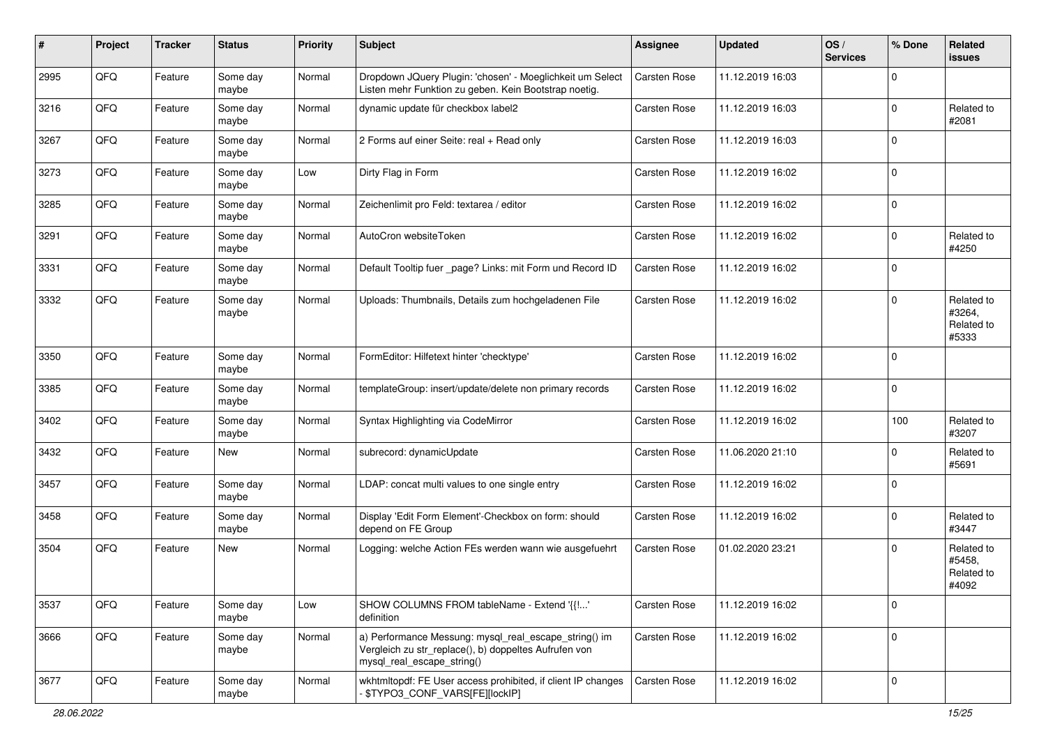| #    | Project | <b>Tracker</b> | <b>Status</b>     | <b>Priority</b> | Subject                                                                                                                                      | <b>Assignee</b>     | <b>Updated</b>   | OS/<br><b>Services</b> | % Done      | Related<br>issues                           |
|------|---------|----------------|-------------------|-----------------|----------------------------------------------------------------------------------------------------------------------------------------------|---------------------|------------------|------------------------|-------------|---------------------------------------------|
| 2995 | QFQ     | Feature        | Some day<br>maybe | Normal          | Dropdown JQuery Plugin: 'chosen' - Moeglichkeit um Select<br>Listen mehr Funktion zu geben. Kein Bootstrap noetig.                           | Carsten Rose        | 11.12.2019 16:03 |                        | $\Omega$    |                                             |
| 3216 | QFQ     | Feature        | Some day<br>maybe | Normal          | dynamic update für checkbox label2                                                                                                           | <b>Carsten Rose</b> | 11.12.2019 16:03 |                        | $\Omega$    | Related to<br>#2081                         |
| 3267 | QFQ     | Feature        | Some day<br>maybe | Normal          | 2 Forms auf einer Seite: real + Read only                                                                                                    | <b>Carsten Rose</b> | 11.12.2019 16:03 |                        | $\Omega$    |                                             |
| 3273 | QFQ     | Feature        | Some day<br>maybe | Low             | Dirty Flag in Form                                                                                                                           | <b>Carsten Rose</b> | 11.12.2019 16:02 |                        | $\Omega$    |                                             |
| 3285 | QFQ     | Feature        | Some day<br>maybe | Normal          | Zeichenlimit pro Feld: textarea / editor                                                                                                     | <b>Carsten Rose</b> | 11.12.2019 16:02 |                        | $\Omega$    |                                             |
| 3291 | QFQ     | Feature        | Some day<br>maybe | Normal          | AutoCron websiteToken                                                                                                                        | Carsten Rose        | 11.12.2019 16:02 |                        | $\Omega$    | Related to<br>#4250                         |
| 3331 | QFQ     | Feature        | Some day<br>maybe | Normal          | Default Tooltip fuer _page? Links: mit Form und Record ID                                                                                    | Carsten Rose        | 11.12.2019 16:02 |                        | $\Omega$    |                                             |
| 3332 | QFQ     | Feature        | Some day<br>maybe | Normal          | Uploads: Thumbnails, Details zum hochgeladenen File                                                                                          | <b>Carsten Rose</b> | 11.12.2019 16:02 |                        | $\Omega$    | Related to<br>#3264,<br>Related to<br>#5333 |
| 3350 | QFQ     | Feature        | Some day<br>maybe | Normal          | FormEditor: Hilfetext hinter 'checktype'                                                                                                     | <b>Carsten Rose</b> | 11.12.2019 16:02 |                        | $\Omega$    |                                             |
| 3385 | QFQ     | Feature        | Some day<br>maybe | Normal          | templateGroup: insert/update/delete non primary records                                                                                      | <b>Carsten Rose</b> | 11.12.2019 16:02 |                        | $\mathbf 0$ |                                             |
| 3402 | QFQ     | Feature        | Some day<br>maybe | Normal          | Syntax Highlighting via CodeMirror                                                                                                           | Carsten Rose        | 11.12.2019 16:02 |                        | 100         | Related to<br>#3207                         |
| 3432 | QFQ     | Feature        | <b>New</b>        | Normal          | subrecord: dynamicUpdate                                                                                                                     | Carsten Rose        | 11.06.2020 21:10 |                        | 0           | Related to<br>#5691                         |
| 3457 | QFQ     | Feature        | Some day<br>maybe | Normal          | LDAP: concat multi values to one single entry                                                                                                | Carsten Rose        | 11.12.2019 16:02 |                        | $\Omega$    |                                             |
| 3458 | QFQ     | Feature        | Some day<br>maybe | Normal          | Display 'Edit Form Element'-Checkbox on form: should<br>depend on FE Group                                                                   | Carsten Rose        | 11.12.2019 16:02 |                        | $\Omega$    | Related to<br>#3447                         |
| 3504 | QFQ     | Feature        | New               | Normal          | Logging: welche Action FEs werden wann wie ausgefuehrt                                                                                       | Carsten Rose        | 01.02.2020 23:21 |                        | $\Omega$    | Related to<br>#5458,<br>Related to<br>#4092 |
| 3537 | QFQ     | Feature        | Some day<br>maybe | Low             | SHOW COLUMNS FROM tableName - Extend '{{'<br>definition                                                                                      | Carsten Rose        | 11.12.2019 16:02 |                        | $\mathbf 0$ |                                             |
| 3666 | QFQ     | Feature        | Some day<br>maybe | Normal          | a) Performance Messung: mysql_real_escape_string() im<br>Vergleich zu str_replace(), b) doppeltes Aufrufen von<br>mysql_real_escape_string() | Carsten Rose        | 11.12.2019 16:02 |                        | $\mathbf 0$ |                                             |
| 3677 | QFQ     | Feature        | Some day<br>maybe | Normal          | wkhtmltopdf: FE User access prohibited, if client IP changes<br>\$TYPO3 CONF VARS[FE][lockIP]                                                | <b>Carsten Rose</b> | 11.12.2019 16:02 |                        | $\mathbf 0$ |                                             |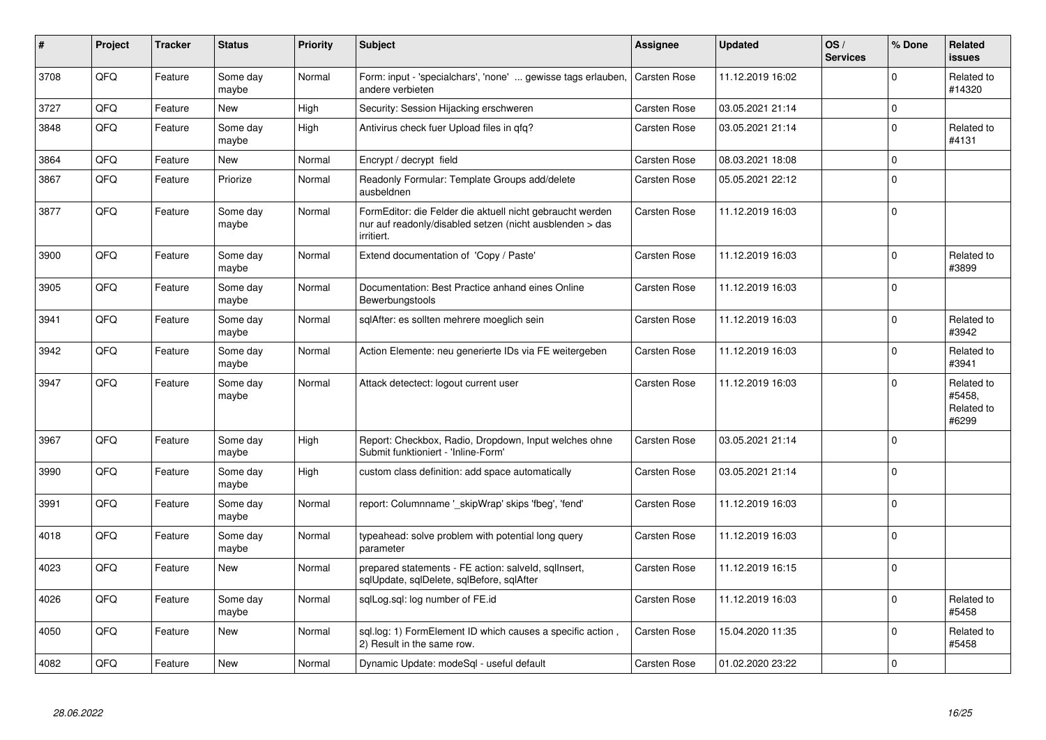| $\vert$ # | Project | <b>Tracker</b> | <b>Status</b>     | <b>Priority</b> | Subject                                                                                                                             | <b>Assignee</b>     | <b>Updated</b>   | OS/<br><b>Services</b> | % Done   | Related<br><b>issues</b>                    |
|-----------|---------|----------------|-------------------|-----------------|-------------------------------------------------------------------------------------------------------------------------------------|---------------------|------------------|------------------------|----------|---------------------------------------------|
| 3708      | QFQ     | Feature        | Some day<br>maybe | Normal          | Form: input - 'specialchars', 'none'  gewisse tags erlauben,<br>andere verbieten                                                    | Carsten Rose        | 11.12.2019 16:02 |                        | $\Omega$ | Related to<br>#14320                        |
| 3727      | QFQ     | Feature        | <b>New</b>        | High            | Security: Session Hijacking erschweren                                                                                              | Carsten Rose        | 03.05.2021 21:14 |                        | $\Omega$ |                                             |
| 3848      | QFQ     | Feature        | Some day<br>maybe | High            | Antivirus check fuer Upload files in qfq?                                                                                           | <b>Carsten Rose</b> | 03.05.2021 21:14 |                        | $\Omega$ | Related to<br>#4131                         |
| 3864      | QFQ     | Feature        | <b>New</b>        | Normal          | Encrypt / decrypt field                                                                                                             | <b>Carsten Rose</b> | 08.03.2021 18:08 |                        | $\Omega$ |                                             |
| 3867      | QFQ     | Feature        | Priorize          | Normal          | Readonly Formular: Template Groups add/delete<br>ausbeldnen                                                                         | <b>Carsten Rose</b> | 05.05.2021 22:12 |                        | $\Omega$ |                                             |
| 3877      | QFQ     | Feature        | Some day<br>maybe | Normal          | FormEditor: die Felder die aktuell nicht gebraucht werden<br>nur auf readonly/disabled setzen (nicht ausblenden > das<br>irritiert. | <b>Carsten Rose</b> | 11.12.2019 16:03 |                        | $\Omega$ |                                             |
| 3900      | QFQ     | Feature        | Some day<br>maybe | Normal          | Extend documentation of 'Copy / Paste'                                                                                              | <b>Carsten Rose</b> | 11.12.2019 16:03 |                        | $\Omega$ | Related to<br>#3899                         |
| 3905      | QFQ     | Feature        | Some day<br>maybe | Normal          | Documentation: Best Practice anhand eines Online<br>Bewerbungstools                                                                 | <b>Carsten Rose</b> | 11.12.2019 16:03 |                        | $\Omega$ |                                             |
| 3941      | QFQ     | Feature        | Some day<br>maybe | Normal          | sqlAfter: es sollten mehrere moeglich sein                                                                                          | Carsten Rose        | 11.12.2019 16:03 |                        | $\Omega$ | Related to<br>#3942                         |
| 3942      | QFQ     | Feature        | Some day<br>maybe | Normal          | Action Elemente: neu generierte IDs via FE weitergeben                                                                              | Carsten Rose        | 11.12.2019 16:03 |                        | $\Omega$ | Related to<br>#3941                         |
| 3947      | QFQ     | Feature        | Some day<br>maybe | Normal          | Attack detectect: logout current user                                                                                               | <b>Carsten Rose</b> | 11.12.2019 16:03 |                        | $\Omega$ | Related to<br>#5458,<br>Related to<br>#6299 |
| 3967      | QFQ     | Feature        | Some day<br>maybe | High            | Report: Checkbox, Radio, Dropdown, Input welches ohne<br>Submit funktioniert - 'Inline-Form'                                        | <b>Carsten Rose</b> | 03.05.2021 21:14 |                        | $\Omega$ |                                             |
| 3990      | QFQ     | Feature        | Some day<br>maybe | High            | custom class definition: add space automatically                                                                                    | <b>Carsten Rose</b> | 03.05.2021 21:14 |                        | $\Omega$ |                                             |
| 3991      | QFQ     | Feature        | Some day<br>maybe | Normal          | report: Columnname '_skipWrap' skips 'fbeg', 'fend'                                                                                 | <b>Carsten Rose</b> | 11.12.2019 16:03 |                        | $\Omega$ |                                             |
| 4018      | QFQ     | Feature        | Some day<br>maybe | Normal          | typeahead: solve problem with potential long query<br>parameter                                                                     | Carsten Rose        | 11.12.2019 16:03 |                        | $\Omega$ |                                             |
| 4023      | QFQ     | Feature        | <b>New</b>        | Normal          | prepared statements - FE action: salveld, sqlInsert,<br>sqlUpdate, sqlDelete, sqlBefore, sqlAfter                                   | <b>Carsten Rose</b> | 11.12.2019 16:15 |                        | $\Omega$ |                                             |
| 4026      | QFQ     | Feature        | Some day<br>maybe | Normal          | sqlLog.sql: log number of FE.id                                                                                                     | <b>Carsten Rose</b> | 11.12.2019 16:03 |                        | $\Omega$ | Related to<br>#5458                         |
| 4050      | QFQ     | Feature        | <b>New</b>        | Normal          | sql.log: 1) FormElement ID which causes a specific action,<br>2) Result in the same row.                                            | Carsten Rose        | 15.04.2020 11:35 |                        | $\Omega$ | Related to<br>#5458                         |
| 4082      | QFQ     | Feature        | <b>New</b>        | Normal          | Dynamic Update: modeSql - useful default                                                                                            | <b>Carsten Rose</b> | 01.02.2020 23:22 |                        | $\Omega$ |                                             |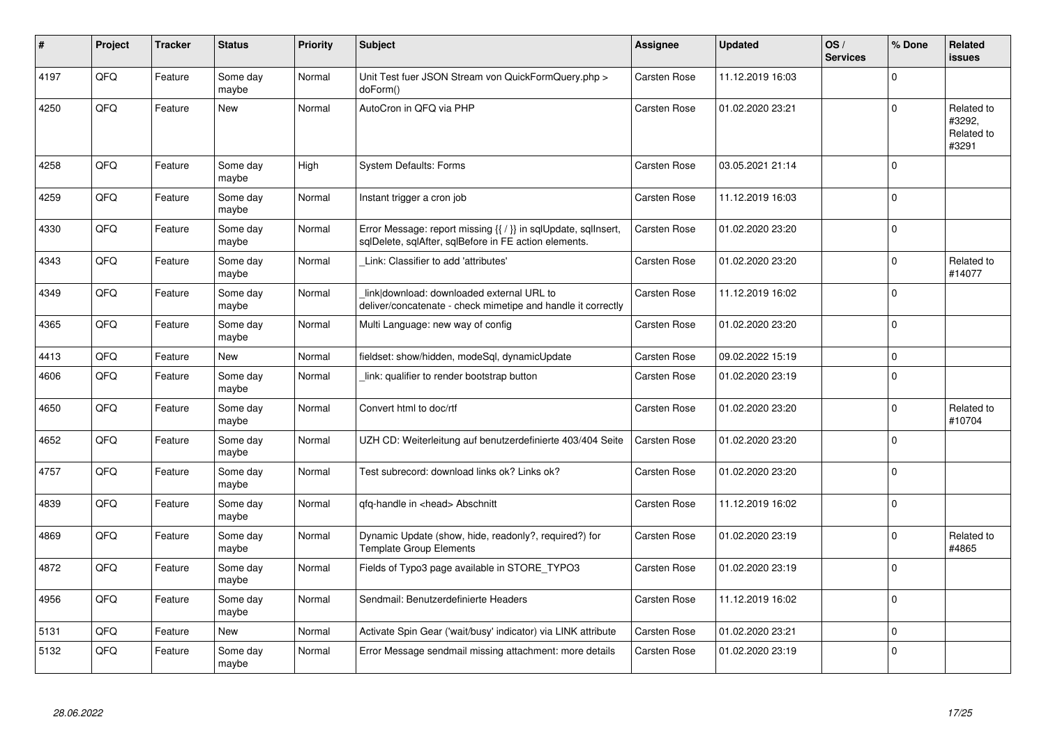| #    | Project | <b>Tracker</b> | <b>Status</b>     | <b>Priority</b> | Subject                                                                                                                 | <b>Assignee</b>     | <b>Updated</b>   | OS/<br><b>Services</b> | % Done      | Related<br>issues                           |
|------|---------|----------------|-------------------|-----------------|-------------------------------------------------------------------------------------------------------------------------|---------------------|------------------|------------------------|-------------|---------------------------------------------|
| 4197 | QFQ     | Feature        | Some day<br>maybe | Normal          | Unit Test fuer JSON Stream von QuickFormQuery.php ><br>doForm()                                                         | <b>Carsten Rose</b> | 11.12.2019 16:03 |                        | $\Omega$    |                                             |
| 4250 | QFQ     | Feature        | New               | Normal          | AutoCron in QFQ via PHP                                                                                                 | <b>Carsten Rose</b> | 01.02.2020 23:21 |                        | $\Omega$    | Related to<br>#3292,<br>Related to<br>#3291 |
| 4258 | QFQ     | Feature        | Some day<br>maybe | High            | <b>System Defaults: Forms</b>                                                                                           | <b>Carsten Rose</b> | 03.05.2021 21:14 |                        | $\Omega$    |                                             |
| 4259 | QFQ     | Feature        | Some day<br>maybe | Normal          | Instant trigger a cron job                                                                                              | <b>Carsten Rose</b> | 11.12.2019 16:03 |                        | $\Omega$    |                                             |
| 4330 | QFQ     | Feature        | Some day<br>maybe | Normal          | Error Message: report missing {{ / }} in sqlUpdate, sqlInsert,<br>sqlDelete, sqlAfter, sqlBefore in FE action elements. | <b>Carsten Rose</b> | 01.02.2020 23:20 |                        | $\Omega$    |                                             |
| 4343 | QFQ     | Feature        | Some day<br>maybe | Normal          | Link: Classifier to add 'attributes'                                                                                    | Carsten Rose        | 01.02.2020 23:20 |                        | $\Omega$    | Related to<br>#14077                        |
| 4349 | QFQ     | Feature        | Some day<br>maybe | Normal          | link download: downloaded external URL to<br>deliver/concatenate - check mimetipe and handle it correctly               | Carsten Rose        | 11.12.2019 16:02 |                        | $\Omega$    |                                             |
| 4365 | QFQ     | Feature        | Some day<br>maybe | Normal          | Multi Language: new way of config                                                                                       | <b>Carsten Rose</b> | 01.02.2020 23:20 |                        | $\Omega$    |                                             |
| 4413 | QFQ     | Feature        | New               | Normal          | fieldset: show/hidden, modeSql, dynamicUpdate                                                                           | <b>Carsten Rose</b> | 09.02.2022 15:19 |                        | $\mathbf 0$ |                                             |
| 4606 | QFQ     | Feature        | Some day<br>maybe | Normal          | link: qualifier to render bootstrap button                                                                              | <b>Carsten Rose</b> | 01.02.2020 23:19 |                        | $\Omega$    |                                             |
| 4650 | QFQ     | Feature        | Some day<br>maybe | Normal          | Convert html to doc/rtf                                                                                                 | <b>Carsten Rose</b> | 01.02.2020 23:20 |                        | $\Omega$    | Related to<br>#10704                        |
| 4652 | QFQ     | Feature        | Some day<br>maybe | Normal          | UZH CD: Weiterleitung auf benutzerdefinierte 403/404 Seite                                                              | <b>Carsten Rose</b> | 01.02.2020 23:20 |                        | $\Omega$    |                                             |
| 4757 | QFQ     | Feature        | Some day<br>maybe | Normal          | Test subrecord: download links ok? Links ok?                                                                            | <b>Carsten Rose</b> | 01.02.2020 23:20 |                        | $\Omega$    |                                             |
| 4839 | QFQ     | Feature        | Some day<br>maybe | Normal          | qfq-handle in <head> Abschnitt</head>                                                                                   | <b>Carsten Rose</b> | 11.12.2019 16:02 |                        | $\Omega$    |                                             |
| 4869 | QFQ     | Feature        | Some day<br>maybe | Normal          | Dynamic Update (show, hide, readonly?, required?) for<br><b>Template Group Elements</b>                                 | Carsten Rose        | 01.02.2020 23:19 |                        | $\Omega$    | Related to<br>#4865                         |
| 4872 | QFQ     | Feature        | Some day<br>maybe | Normal          | Fields of Typo3 page available in STORE_TYPO3                                                                           | Carsten Rose        | 01.02.2020 23:19 |                        | $\Omega$    |                                             |
| 4956 | QFQ     | Feature        | Some day<br>maybe | Normal          | Sendmail: Benutzerdefinierte Headers                                                                                    | Carsten Rose        | 11.12.2019 16:02 |                        | $\Omega$    |                                             |
| 5131 | QFQ     | Feature        | <b>New</b>        | Normal          | Activate Spin Gear ('wait/busy' indicator) via LINK attribute                                                           | <b>Carsten Rose</b> | 01.02.2020 23:21 |                        | $\mathbf 0$ |                                             |
| 5132 | QFQ     | Feature        | Some day<br>maybe | Normal          | Error Message sendmail missing attachment: more details                                                                 | <b>Carsten Rose</b> | 01.02.2020 23:19 |                        | $\Omega$    |                                             |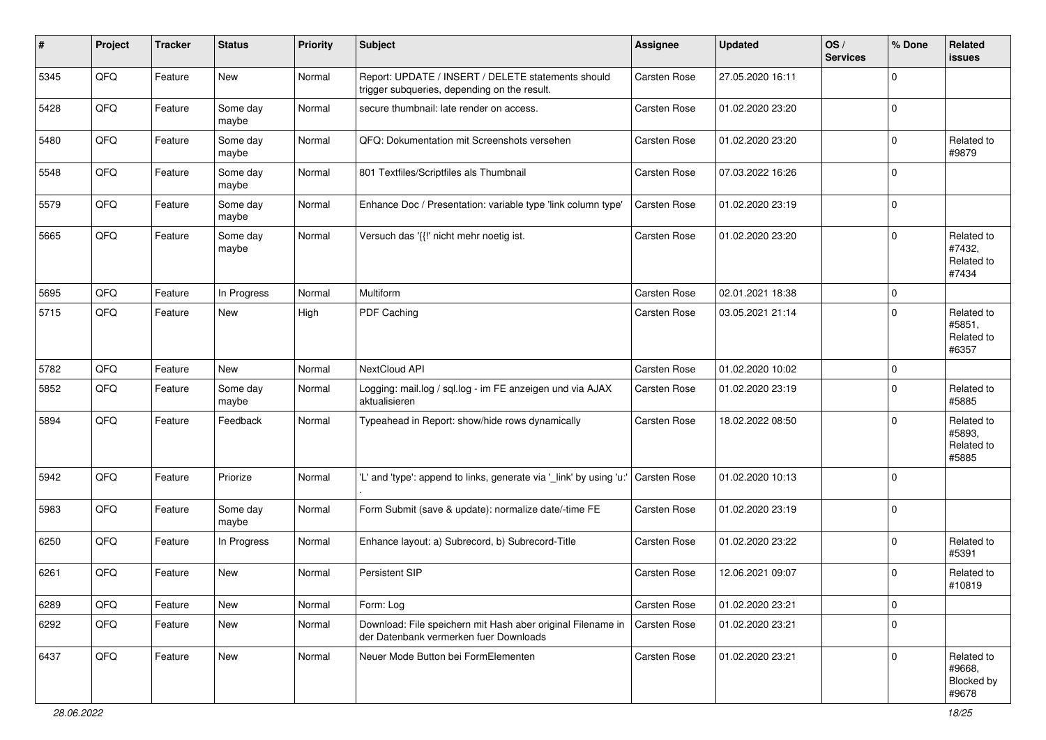| #    | Project | <b>Tracker</b> | <b>Status</b>     | <b>Priority</b> | <b>Subject</b>                                                                                        | <b>Assignee</b>     | <b>Updated</b>   | OS/<br><b>Services</b> | % Done      | Related<br>issues                           |
|------|---------|----------------|-------------------|-----------------|-------------------------------------------------------------------------------------------------------|---------------------|------------------|------------------------|-------------|---------------------------------------------|
| 5345 | QFQ     | Feature        | <b>New</b>        | Normal          | Report: UPDATE / INSERT / DELETE statements should<br>trigger subqueries, depending on the result.    | Carsten Rose        | 27.05.2020 16:11 |                        | $\Omega$    |                                             |
| 5428 | QFQ     | Feature        | Some day<br>maybe | Normal          | secure thumbnail: late render on access.                                                              | Carsten Rose        | 01.02.2020 23:20 |                        | $\mathbf 0$ |                                             |
| 5480 | QFQ     | Feature        | Some day<br>maybe | Normal          | QFQ: Dokumentation mit Screenshots versehen                                                           | <b>Carsten Rose</b> | 01.02.2020 23:20 |                        | $\Omega$    | Related to<br>#9879                         |
| 5548 | QFQ     | Feature        | Some day<br>maybe | Normal          | 801 Textfiles/Scriptfiles als Thumbnail                                                               | <b>Carsten Rose</b> | 07.03.2022 16:26 |                        | $\Omega$    |                                             |
| 5579 | QFQ     | Feature        | Some day<br>maybe | Normal          | Enhance Doc / Presentation: variable type 'link column type'                                          | <b>Carsten Rose</b> | 01.02.2020 23:19 |                        | $\mathbf 0$ |                                             |
| 5665 | QFQ     | Feature        | Some day<br>maybe | Normal          | Versuch das '{{!' nicht mehr noetig ist.                                                              | Carsten Rose        | 01.02.2020 23:20 |                        | $\Omega$    | Related to<br>#7432,<br>Related to<br>#7434 |
| 5695 | QFQ     | Feature        | In Progress       | Normal          | Multiform                                                                                             | Carsten Rose        | 02.01.2021 18:38 |                        | $\mathbf 0$ |                                             |
| 5715 | QFQ     | Feature        | New               | High            | PDF Caching                                                                                           | <b>Carsten Rose</b> | 03.05.2021 21:14 |                        | $\Omega$    | Related to<br>#5851,<br>Related to<br>#6357 |
| 5782 | QFQ     | Feature        | <b>New</b>        | Normal          | NextCloud API                                                                                         | Carsten Rose        | 01.02.2020 10:02 |                        | $\mathbf 0$ |                                             |
| 5852 | QFQ     | Feature        | Some day<br>maybe | Normal          | Logging: mail.log / sql.log - im FE anzeigen und via AJAX<br>aktualisieren                            | Carsten Rose        | 01.02.2020 23:19 |                        | $\Omega$    | Related to<br>#5885                         |
| 5894 | QFQ     | Feature        | Feedback          | Normal          | Typeahead in Report: show/hide rows dynamically                                                       | <b>Carsten Rose</b> | 18.02.2022 08:50 |                        | 0           | Related to<br>#5893.<br>Related to<br>#5885 |
| 5942 | QFQ     | Feature        | Priorize          | Normal          | 'L' and 'type': append to links, generate via '_link' by using 'u:'                                   | Carsten Rose        | 01.02.2020 10:13 |                        | $\mathbf 0$ |                                             |
| 5983 | QFQ     | Feature        | Some day<br>maybe | Normal          | Form Submit (save & update): normalize date/-time FE                                                  | <b>Carsten Rose</b> | 01.02.2020 23:19 |                        | 0           |                                             |
| 6250 | QFQ     | Feature        | In Progress       | Normal          | Enhance layout: a) Subrecord, b) Subrecord-Title                                                      | Carsten Rose        | 01.02.2020 23:22 |                        | $\Omega$    | Related to<br>#5391                         |
| 6261 | QFQ     | Feature        | <b>New</b>        | Normal          | Persistent SIP                                                                                        | <b>Carsten Rose</b> | 12.06.2021 09:07 |                        | $\Omega$    | Related to<br>#10819                        |
| 6289 | QFQ     | Feature        | New               | Normal          | Form: Log                                                                                             | Carsten Rose        | 01.02.2020 23:21 |                        | $\mathbf 0$ |                                             |
| 6292 | QFQ     | Feature        | New               | Normal          | Download: File speichern mit Hash aber original Filename in<br>der Datenbank vermerken fuer Downloads | Carsten Rose        | 01.02.2020 23:21 |                        | $\mathbf 0$ |                                             |
| 6437 | QFQ     | Feature        | New               | Normal          | Neuer Mode Button bei FormElementen                                                                   | <b>Carsten Rose</b> | 01.02.2020 23:21 |                        | $\mathbf 0$ | Related to<br>#9668,<br>Blocked by<br>#9678 |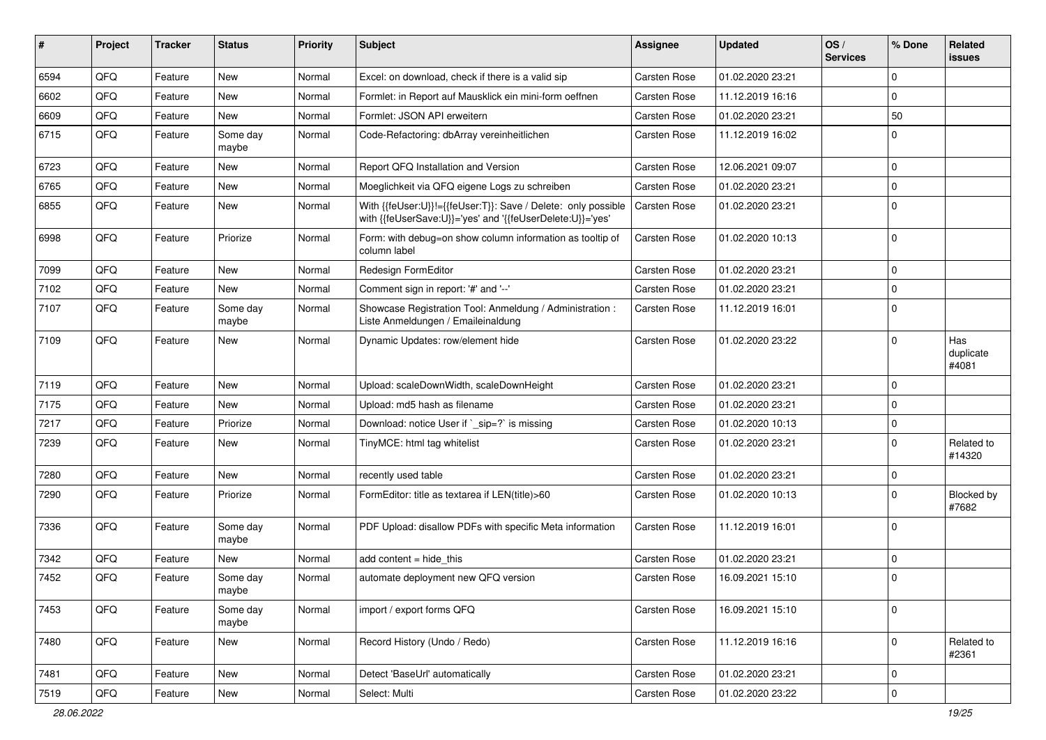| #    | Project | <b>Tracker</b> | <b>Status</b>     | <b>Priority</b> | <b>Subject</b>                                                                                                             | <b>Assignee</b>     | <b>Updated</b>   | OS/<br><b>Services</b> | % Done      | Related<br>issues         |
|------|---------|----------------|-------------------|-----------------|----------------------------------------------------------------------------------------------------------------------------|---------------------|------------------|------------------------|-------------|---------------------------|
| 6594 | QFQ     | Feature        | <b>New</b>        | Normal          | Excel: on download, check if there is a valid sip                                                                          | Carsten Rose        | 01.02.2020 23:21 |                        | $\Omega$    |                           |
| 6602 | QFQ     | Feature        | <b>New</b>        | Normal          | Formlet: in Report auf Mausklick ein mini-form oeffnen                                                                     | Carsten Rose        | 11.12.2019 16:16 |                        | 0           |                           |
| 6609 | QFQ     | Feature        | New               | Normal          | Formlet: JSON API erweitern                                                                                                | <b>Carsten Rose</b> | 01.02.2020 23:21 |                        | 50          |                           |
| 6715 | QFQ     | Feature        | Some day<br>maybe | Normal          | Code-Refactoring: dbArray vereinheitlichen                                                                                 | Carsten Rose        | 11.12.2019 16:02 |                        | $\Omega$    |                           |
| 6723 | QFQ     | Feature        | <b>New</b>        | Normal          | Report QFQ Installation and Version                                                                                        | <b>Carsten Rose</b> | 12.06.2021 09:07 |                        | 0           |                           |
| 6765 | QFQ     | Feature        | New               | Normal          | Moeglichkeit via QFQ eigene Logs zu schreiben                                                                              | <b>Carsten Rose</b> | 01.02.2020 23:21 |                        | 0           |                           |
| 6855 | QFQ     | Feature        | <b>New</b>        | Normal          | With {{feUser:U}}!={{feUser:T}}: Save / Delete: only possible<br>with {{feUserSave:U}}='yes' and '{{feUserDelete:U}}='yes' | <b>Carsten Rose</b> | 01.02.2020 23:21 |                        | $\Omega$    |                           |
| 6998 | QFQ     | Feature        | Priorize          | Normal          | Form: with debug=on show column information as tooltip of<br>column label                                                  | Carsten Rose        | 01.02.2020 10:13 |                        | $\Omega$    |                           |
| 7099 | QFQ     | Feature        | <b>New</b>        | Normal          | Redesign FormEditor                                                                                                        | <b>Carsten Rose</b> | 01.02.2020 23:21 |                        | 0           |                           |
| 7102 | QFQ     | Feature        | <b>New</b>        | Normal          | Comment sign in report: '#' and '--'                                                                                       | <b>Carsten Rose</b> | 01.02.2020 23:21 |                        | 0           |                           |
| 7107 | QFQ     | Feature        | Some day<br>maybe | Normal          | Showcase Registration Tool: Anmeldung / Administration :<br>Liste Anmeldungen / Emaileinaldung                             | <b>Carsten Rose</b> | 11.12.2019 16:01 |                        | $\Omega$    |                           |
| 7109 | QFQ     | Feature        | <b>New</b>        | Normal          | Dynamic Updates: row/element hide                                                                                          | Carsten Rose        | 01.02.2020 23:22 |                        | $\Omega$    | Has<br>duplicate<br>#4081 |
| 7119 | QFQ     | Feature        | New               | Normal          | Upload: scaleDownWidth, scaleDownHeight                                                                                    | <b>Carsten Rose</b> | 01.02.2020 23:21 |                        | $\Omega$    |                           |
| 7175 | QFQ     | Feature        | <b>New</b>        | Normal          | Upload: md5 hash as filename                                                                                               | <b>Carsten Rose</b> | 01.02.2020 23:21 |                        | 0           |                           |
| 7217 | QFQ     | Feature        | Priorize          | Normal          | Download: notice User if `_sip=?` is missing                                                                               | <b>Carsten Rose</b> | 01.02.2020 10:13 |                        | 0           |                           |
| 7239 | QFQ     | Feature        | New               | Normal          | TinyMCE: html tag whitelist                                                                                                | <b>Carsten Rose</b> | 01.02.2020 23:21 |                        | 0           | Related to<br>#14320      |
| 7280 | QFQ     | Feature        | New               | Normal          | recently used table                                                                                                        | <b>Carsten Rose</b> | 01.02.2020 23:21 |                        | $\Omega$    |                           |
| 7290 | QFQ     | Feature        | Priorize          | Normal          | FormEditor: title as textarea if LEN(title)>60                                                                             | Carsten Rose        | 01.02.2020 10:13 |                        | $\Omega$    | Blocked by<br>#7682       |
| 7336 | QFQ     | Feature        | Some day<br>maybe | Normal          | PDF Upload: disallow PDFs with specific Meta information                                                                   | Carsten Rose        | 11.12.2019 16:01 |                        | $\Omega$    |                           |
| 7342 | QFQ     | Feature        | New               | Normal          | add content $=$ hide this                                                                                                  | <b>Carsten Rose</b> | 01.02.2020 23:21 |                        | $\mathbf 0$ |                           |
| 7452 | QFQ     | Feature        | Some day<br>maybe | Normal          | automate deployment new QFQ version                                                                                        | <b>Carsten Rose</b> | 16.09.2021 15:10 |                        | $\Omega$    |                           |
| 7453 | QFQ     | Feature        | Some day<br>maybe | Normal          | import / export forms QFQ                                                                                                  | Carsten Rose        | 16.09.2021 15:10 |                        | 0           |                           |
| 7480 | QFQ     | Feature        | New               | Normal          | Record History (Undo / Redo)                                                                                               | Carsten Rose        | 11.12.2019 16:16 |                        | $\mathbf 0$ | Related to<br>#2361       |
| 7481 | QFQ     | Feature        | <b>New</b>        | Normal          | Detect 'BaseUrl' automatically                                                                                             | Carsten Rose        | 01.02.2020 23:21 |                        | 0           |                           |
| 7519 | QFQ     | Feature        | New               | Normal          | Select: Multi                                                                                                              | Carsten Rose        | 01.02.2020 23:22 |                        | $\mathbf 0$ |                           |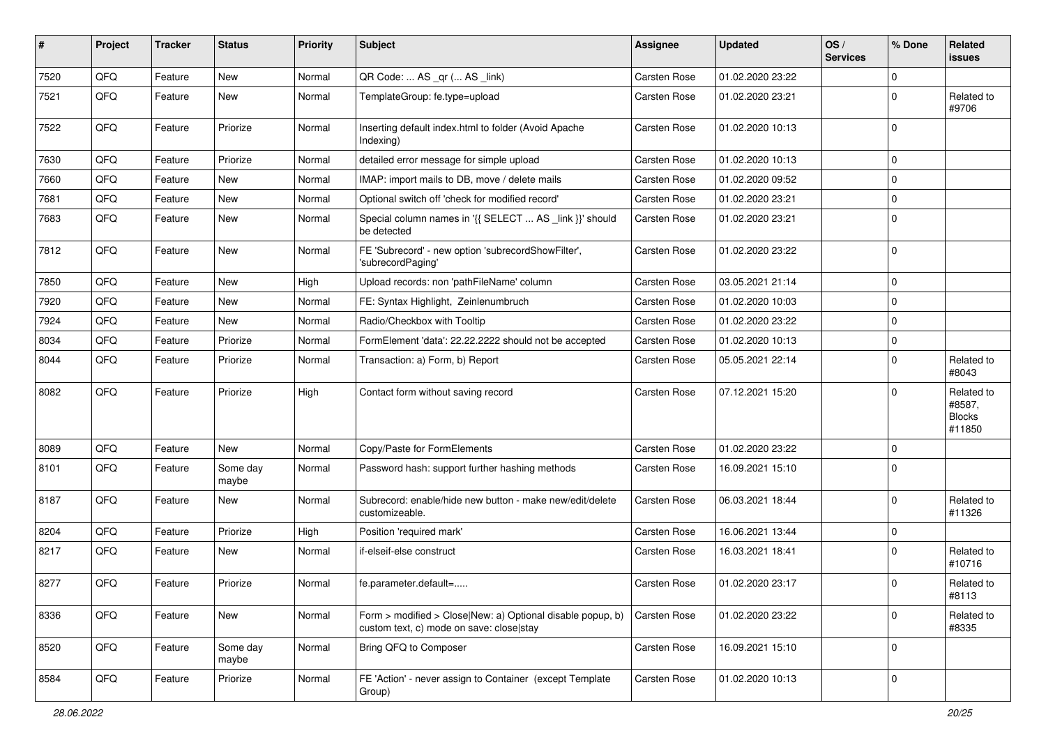| #    | Project | <b>Tracker</b> | <b>Status</b>     | <b>Priority</b> | Subject                                                                                                | <b>Assignee</b>     | <b>Updated</b>   | OS/<br><b>Services</b> | % Done      | Related<br>issues                               |
|------|---------|----------------|-------------------|-----------------|--------------------------------------------------------------------------------------------------------|---------------------|------------------|------------------------|-------------|-------------------------------------------------|
| 7520 | QFQ     | Feature        | <b>New</b>        | Normal          | QR Code:  AS _qr ( AS _link)                                                                           | Carsten Rose        | 01.02.2020 23:22 |                        | 0           |                                                 |
| 7521 | QFQ     | Feature        | New               | Normal          | TemplateGroup: fe.type=upload                                                                          | <b>Carsten Rose</b> | 01.02.2020 23:21 |                        | $\Omega$    | Related to<br>#9706                             |
| 7522 | QFQ     | Feature        | Priorize          | Normal          | Inserting default index.html to folder (Avoid Apache<br>Indexing)                                      | Carsten Rose        | 01.02.2020 10:13 |                        | $\Omega$    |                                                 |
| 7630 | QFQ     | Feature        | Priorize          | Normal          | detailed error message for simple upload                                                               | <b>Carsten Rose</b> | 01.02.2020 10:13 |                        | $\Omega$    |                                                 |
| 7660 | QFQ     | Feature        | New               | Normal          | IMAP: import mails to DB, move / delete mails                                                          | Carsten Rose        | 01.02.2020 09:52 |                        | $\mathbf 0$ |                                                 |
| 7681 | QFQ     | Feature        | <b>New</b>        | Normal          | Optional switch off 'check for modified record'                                                        | Carsten Rose        | 01.02.2020 23:21 |                        | $\Omega$    |                                                 |
| 7683 | QFQ     | Feature        | New               | Normal          | Special column names in '{{ SELECT  AS _link }}' should<br>be detected                                 | <b>Carsten Rose</b> | 01.02.2020 23:21 |                        | 0           |                                                 |
| 7812 | QFQ     | Feature        | <b>New</b>        | Normal          | FE 'Subrecord' - new option 'subrecordShowFilter',<br>'subrecordPaging'                                | Carsten Rose        | 01.02.2020 23:22 |                        | $\Omega$    |                                                 |
| 7850 | QFQ     | Feature        | New               | High            | Upload records: non 'pathFileName' column                                                              | <b>Carsten Rose</b> | 03.05.2021 21:14 |                        | $\Omega$    |                                                 |
| 7920 | QFQ     | Feature        | New               | Normal          | FE: Syntax Highlight, Zeinlenumbruch                                                                   | <b>Carsten Rose</b> | 01.02.2020 10:03 |                        | $\Omega$    |                                                 |
| 7924 | QFQ     | Feature        | <b>New</b>        | Normal          | Radio/Checkbox with Tooltip                                                                            | <b>Carsten Rose</b> | 01.02.2020 23:22 |                        | $\Omega$    |                                                 |
| 8034 | QFQ     | Feature        | Priorize          | Normal          | FormElement 'data': 22.22.2222 should not be accepted                                                  | Carsten Rose        | 01.02.2020 10:13 |                        | $\Omega$    |                                                 |
| 8044 | QFQ     | Feature        | Priorize          | Normal          | Transaction: a) Form, b) Report                                                                        | <b>Carsten Rose</b> | 05.05.2021 22:14 |                        | 0           | Related to<br>#8043                             |
| 8082 | QFQ     | Feature        | Priorize          | High            | Contact form without saving record                                                                     | <b>Carsten Rose</b> | 07.12.2021 15:20 |                        | $\Omega$    | Related to<br>#8587,<br><b>Blocks</b><br>#11850 |
| 8089 | QFQ     | Feature        | <b>New</b>        | Normal          | Copy/Paste for FormElements                                                                            | Carsten Rose        | 01.02.2020 23:22 |                        | $\Omega$    |                                                 |
| 8101 | QFQ     | Feature        | Some day<br>maybe | Normal          | Password hash: support further hashing methods                                                         | <b>Carsten Rose</b> | 16.09.2021 15:10 |                        | 0           |                                                 |
| 8187 | QFQ     | Feature        | <b>New</b>        | Normal          | Subrecord: enable/hide new button - make new/edit/delete<br>customizeable.                             | <b>Carsten Rose</b> | 06.03.2021 18:44 |                        | $\Omega$    | Related to<br>#11326                            |
| 8204 | QFQ     | Feature        | Priorize          | High            | Position 'required mark'                                                                               | <b>Carsten Rose</b> | 16.06.2021 13:44 |                        | $\Omega$    |                                                 |
| 8217 | QFQ     | Feature        | New               | Normal          | if-elseif-else construct                                                                               | Carsten Rose        | 16.03.2021 18:41 |                        | $\Omega$    | Related to<br>#10716                            |
| 8277 | QFQ     | Feature        | Priorize          | Normal          | fe.parameter.default=                                                                                  | Carsten Rose        | 01.02.2020 23:17 |                        | $\Omega$    | Related to<br>#8113                             |
| 8336 | QFQ     | Feature        | <b>New</b>        | Normal          | Form > modified > Close New: a) Optional disable popup, b)<br>custom text, c) mode on save: close stay | Carsten Rose        | 01.02.2020 23:22 |                        | $\mathbf 0$ | Related to<br>#8335                             |
| 8520 | QFQ     | Feature        | Some day<br>maybe | Normal          | Bring QFQ to Composer                                                                                  | Carsten Rose        | 16.09.2021 15:10 |                        | $\Omega$    |                                                 |
| 8584 | QFQ     | Feature        | Priorize          | Normal          | FE 'Action' - never assign to Container (except Template<br>Group)                                     | Carsten Rose        | 01.02.2020 10:13 |                        | $\mathbf 0$ |                                                 |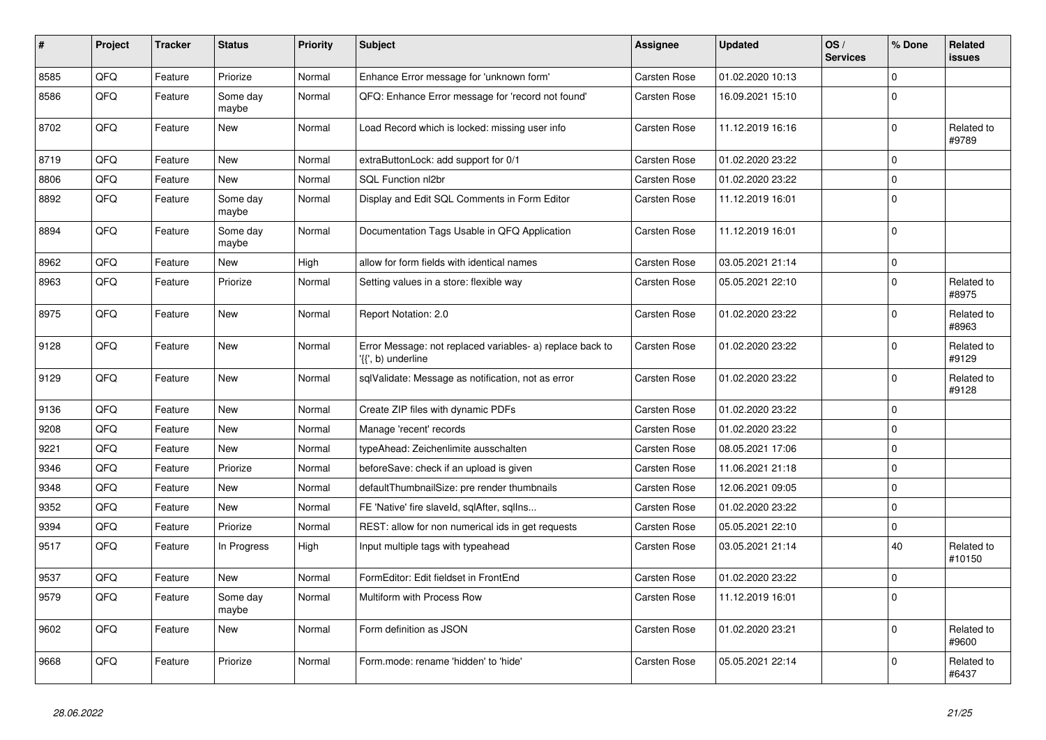| #    | Project | <b>Tracker</b> | <b>Status</b>     | <b>Priority</b> | <b>Subject</b>                                                                  | Assignee            | <b>Updated</b>   | OS/<br><b>Services</b> | % Done      | Related<br><b>issues</b> |
|------|---------|----------------|-------------------|-----------------|---------------------------------------------------------------------------------|---------------------|------------------|------------------------|-------------|--------------------------|
| 8585 | QFQ     | Feature        | Priorize          | Normal          | Enhance Error message for 'unknown form'                                        | <b>Carsten Rose</b> | 01.02.2020 10:13 |                        | $\Omega$    |                          |
| 8586 | QFQ     | Feature        | Some day<br>maybe | Normal          | QFQ: Enhance Error message for 'record not found'                               | Carsten Rose        | 16.09.2021 15:10 |                        | $\Omega$    |                          |
| 8702 | QFQ     | Feature        | <b>New</b>        | Normal          | Load Record which is locked: missing user info                                  | <b>Carsten Rose</b> | 11.12.2019 16:16 |                        | $\Omega$    | Related to<br>#9789      |
| 8719 | QFQ     | Feature        | <b>New</b>        | Normal          | extraButtonLock: add support for 0/1                                            | Carsten Rose        | 01.02.2020 23:22 |                        | $\Omega$    |                          |
| 8806 | QFQ     | Feature        | <b>New</b>        | Normal          | SQL Function nl2br                                                              | <b>Carsten Rose</b> | 01.02.2020 23:22 |                        | $\Omega$    |                          |
| 8892 | QFQ     | Feature        | Some day<br>maybe | Normal          | Display and Edit SQL Comments in Form Editor                                    | Carsten Rose        | 11.12.2019 16:01 |                        | $\Omega$    |                          |
| 8894 | QFQ     | Feature        | Some day<br>maybe | Normal          | Documentation Tags Usable in QFQ Application                                    | <b>Carsten Rose</b> | 11.12.2019 16:01 |                        | $\Omega$    |                          |
| 8962 | QFQ     | Feature        | <b>New</b>        | High            | allow for form fields with identical names                                      | Carsten Rose        | 03.05.2021 21:14 |                        | $\Omega$    |                          |
| 8963 | QFQ     | Feature        | Priorize          | Normal          | Setting values in a store: flexible way                                         | Carsten Rose        | 05.05.2021 22:10 |                        | $\Omega$    | Related to<br>#8975      |
| 8975 | QFQ     | Feature        | <b>New</b>        | Normal          | Report Notation: 2.0                                                            | <b>Carsten Rose</b> | 01.02.2020 23:22 |                        | $\mathbf 0$ | Related to<br>#8963      |
| 9128 | QFQ     | Feature        | <b>New</b>        | Normal          | Error Message: not replaced variables- a) replace back to<br>'{{', b) underline | Carsten Rose        | 01.02.2020 23:22 |                        | $\Omega$    | Related to<br>#9129      |
| 9129 | QFQ     | Feature        | <b>New</b>        | Normal          | sqlValidate: Message as notification, not as error                              | Carsten Rose        | 01.02.2020 23:22 |                        | $\mathbf 0$ | Related to<br>#9128      |
| 9136 | QFQ     | Feature        | <b>New</b>        | Normal          | Create ZIP files with dynamic PDFs                                              | Carsten Rose        | 01.02.2020 23:22 |                        | $\Omega$    |                          |
| 9208 | QFQ     | Feature        | <b>New</b>        | Normal          | Manage 'recent' records                                                         | Carsten Rose        | 01.02.2020 23:22 |                        | $\Omega$    |                          |
| 9221 | QFQ     | Feature        | <b>New</b>        | Normal          | typeAhead: Zeichenlimite ausschalten                                            | Carsten Rose        | 08.05.2021 17:06 |                        | $\Omega$    |                          |
| 9346 | QFQ     | Feature        | Priorize          | Normal          | beforeSave: check if an upload is given                                         | Carsten Rose        | 11.06.2021 21:18 |                        | $\Omega$    |                          |
| 9348 | QFQ     | Feature        | <b>New</b>        | Normal          | defaultThumbnailSize: pre render thumbnails                                     | Carsten Rose        | 12.06.2021 09:05 |                        | $\Omega$    |                          |
| 9352 | QFQ     | Feature        | New               | Normal          | FE 'Native' fire slaveld, sqlAfter, sqllns                                      | Carsten Rose        | 01.02.2020 23:22 |                        | $\Omega$    |                          |
| 9394 | QFQ     | Feature        | Priorize          | Normal          | REST: allow for non numerical ids in get requests                               | Carsten Rose        | 05.05.2021 22:10 |                        | $\Omega$    |                          |
| 9517 | QFQ     | Feature        | In Progress       | High            | Input multiple tags with typeahead                                              | Carsten Rose        | 03.05.2021 21:14 |                        | 40          | Related to<br>#10150     |
| 9537 | QFQ     | Feature        | <b>New</b>        | Normal          | FormEditor: Edit fieldset in FrontEnd                                           | Carsten Rose        | 01.02.2020 23:22 |                        | $\Omega$    |                          |
| 9579 | QFQ     | Feature        | Some day<br>maybe | Normal          | Multiform with Process Row                                                      | <b>Carsten Rose</b> | 11.12.2019 16:01 |                        | $\Omega$    |                          |
| 9602 | QFQ     | Feature        | <b>New</b>        | Normal          | Form definition as JSON                                                         | Carsten Rose        | 01.02.2020 23:21 |                        | $\Omega$    | Related to<br>#9600      |
| 9668 | QFQ     | Feature        | Priorize          | Normal          | Form.mode: rename 'hidden' to 'hide'                                            | Carsten Rose        | 05.05.2021 22:14 |                        | $\Omega$    | Related to<br>#6437      |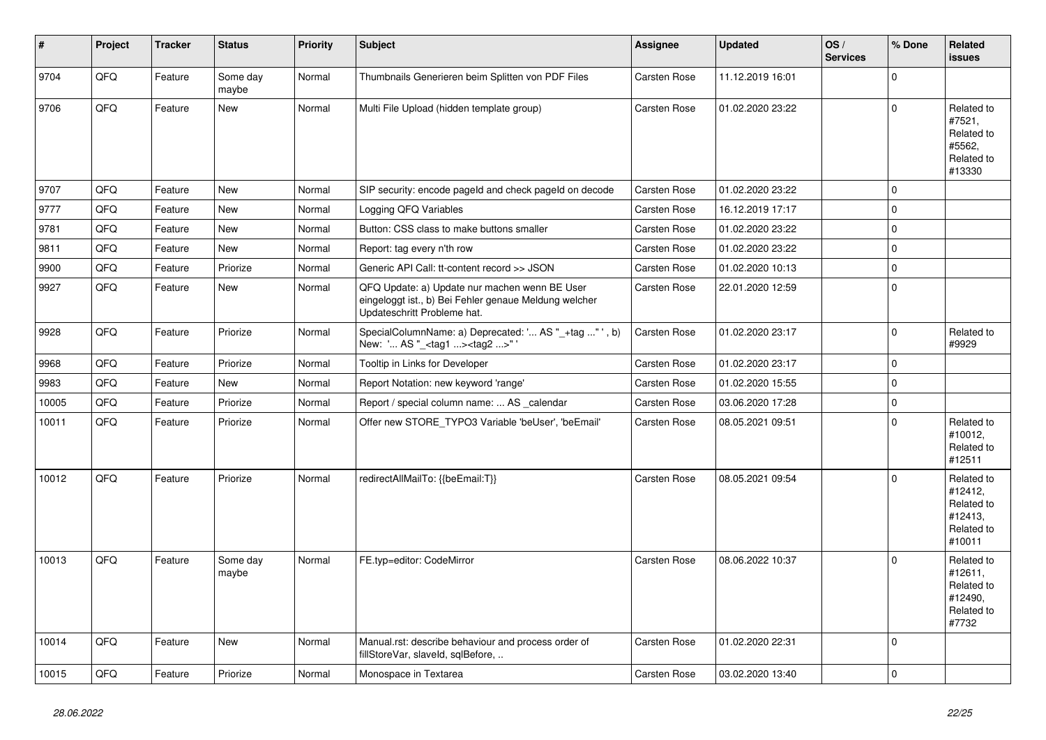| $\vert$ # | Project | <b>Tracker</b> | <b>Status</b>     | <b>Priority</b> | <b>Subject</b>                                                                                                                        | <b>Assignee</b>     | <b>Updated</b>   | OS/<br><b>Services</b> | % Done         | Related<br>issues                                                      |
|-----------|---------|----------------|-------------------|-----------------|---------------------------------------------------------------------------------------------------------------------------------------|---------------------|------------------|------------------------|----------------|------------------------------------------------------------------------|
| 9704      | QFQ     | Feature        | Some day<br>maybe | Normal          | Thumbnails Generieren beim Splitten von PDF Files                                                                                     | <b>Carsten Rose</b> | 11.12.2019 16:01 |                        | $\Omega$       |                                                                        |
| 9706      | QFQ     | Feature        | New               | Normal          | Multi File Upload (hidden template group)                                                                                             | <b>Carsten Rose</b> | 01.02.2020 23:22 |                        | $\Omega$       | Related to<br>#7521,<br>Related to<br>#5562,<br>Related to<br>#13330   |
| 9707      | QFQ     | Feature        | <b>New</b>        | Normal          | SIP security: encode pageld and check pageld on decode                                                                                | Carsten Rose        | 01.02.2020 23:22 |                        | $\Omega$       |                                                                        |
| 9777      | QFQ     | Feature        | <b>New</b>        | Normal          | Logging QFQ Variables                                                                                                                 | <b>Carsten Rose</b> | 16.12.2019 17:17 |                        | $\Omega$       |                                                                        |
| 9781      | QFQ     | Feature        | <b>New</b>        | Normal          | Button: CSS class to make buttons smaller                                                                                             | <b>Carsten Rose</b> | 01.02.2020 23:22 |                        | $\mathbf 0$    |                                                                        |
| 9811      | QFQ     | Feature        | <b>New</b>        | Normal          | Report: tag every n'th row                                                                                                            | <b>Carsten Rose</b> | 01.02.2020 23:22 |                        | $\mathbf 0$    |                                                                        |
| 9900      | QFQ     | Feature        | Priorize          | Normal          | Generic API Call: tt-content record >> JSON                                                                                           | Carsten Rose        | 01.02.2020 10:13 |                        | 0 I            |                                                                        |
| 9927      | QFQ     | Feature        | <b>New</b>        | Normal          | QFQ Update: a) Update nur machen wenn BE User<br>eingeloggt ist., b) Bei Fehler genaue Meldung welcher<br>Updateschritt Probleme hat. | Carsten Rose        | 22.01.2020 12:59 |                        | $\overline{0}$ |                                                                        |
| 9928      | QFQ     | Feature        | Priorize          | Normal          | SpecialColumnName: a) Deprecated: ' AS "_+tag " ', b)<br>New: ' AS "_ <tag1><tag2>"</tag2></tag1>                                     | <b>Carsten Rose</b> | 01.02.2020 23:17 |                        | 0              | Related to<br>#9929                                                    |
| 9968      | QFQ     | Feature        | Priorize          | Normal          | Tooltip in Links for Developer                                                                                                        | <b>Carsten Rose</b> | 01.02.2020 23:17 |                        | $\Omega$       |                                                                        |
| 9983      | QFQ     | Feature        | New               | Normal          | Report Notation: new keyword 'range'                                                                                                  | <b>Carsten Rose</b> | 01.02.2020 15:55 |                        | $\mathbf 0$    |                                                                        |
| 10005     | QFQ     | Feature        | Priorize          | Normal          | Report / special column name:  AS _calendar                                                                                           | Carsten Rose        | 03.06.2020 17:28 |                        | $\mathbf 0$    |                                                                        |
| 10011     | QFQ     | Feature        | Priorize          | Normal          | Offer new STORE_TYPO3 Variable 'beUser', 'beEmail'                                                                                    | Carsten Rose        | 08.05.2021 09:51 |                        | $\Omega$       | Related to<br>#10012,<br>Related to<br>#12511                          |
| 10012     | QFQ     | Feature        | Priorize          | Normal          | redirectAllMailTo: {{beEmail:T}}                                                                                                      | <b>Carsten Rose</b> | 08.05.2021 09:54 |                        | $\Omega$       | Related to<br>#12412,<br>Related to<br>#12413,<br>Related to<br>#10011 |
| 10013     | QFQ     | Feature        | Some day<br>maybe | Normal          | FE.typ=editor: CodeMirror                                                                                                             | <b>Carsten Rose</b> | 08.06.2022 10:37 |                        | $\Omega$       | Related to<br>#12611,<br>Related to<br>#12490.<br>Related to<br>#7732  |
| 10014     | QFQ     | Feature        | <b>New</b>        | Normal          | Manual.rst: describe behaviour and process order of<br>fillStoreVar, slaveId, sqlBefore,                                              | <b>Carsten Rose</b> | 01.02.2020 22:31 |                        | $\overline{0}$ |                                                                        |
| 10015     | QFQ     | Feature        | Priorize          | Normal          | Monospace in Textarea                                                                                                                 | <b>Carsten Rose</b> | 03.02.2020 13:40 |                        | 0              |                                                                        |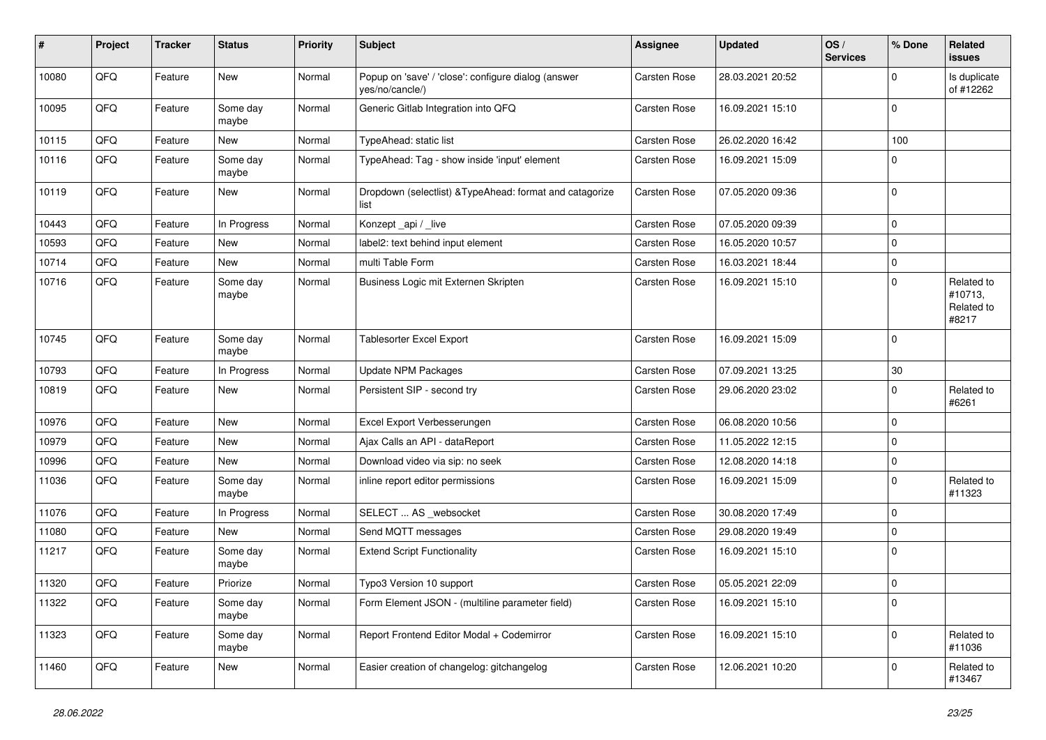| #     | Project | <b>Tracker</b> | <b>Status</b>     | <b>Priority</b> | <b>Subject</b>                                                         | Assignee            | <b>Updated</b>   | OS/<br><b>Services</b> | % Done       | <b>Related</b><br><b>issues</b>              |
|-------|---------|----------------|-------------------|-----------------|------------------------------------------------------------------------|---------------------|------------------|------------------------|--------------|----------------------------------------------|
| 10080 | QFQ     | Feature        | <b>New</b>        | Normal          | Popup on 'save' / 'close': configure dialog (answer<br>yes/no/cancle/) | Carsten Rose        | 28.03.2021 20:52 |                        | <sup>0</sup> | Is duplicate<br>of #12262                    |
| 10095 | QFQ     | Feature        | Some day<br>maybe | Normal          | Generic Gitlab Integration into QFQ                                    | Carsten Rose        | 16.09.2021 15:10 |                        | $\Omega$     |                                              |
| 10115 | QFQ     | Feature        | <b>New</b>        | Normal          | TypeAhead: static list                                                 | Carsten Rose        | 26.02.2020 16:42 |                        | 100          |                                              |
| 10116 | QFQ     | Feature        | Some day<br>maybe | Normal          | TypeAhead: Tag - show inside 'input' element                           | Carsten Rose        | 16.09.2021 15:09 |                        | $\Omega$     |                                              |
| 10119 | QFQ     | Feature        | <b>New</b>        | Normal          | Dropdown (selectlist) & TypeAhead: format and catagorize<br>list       | <b>Carsten Rose</b> | 07.05.2020 09:36 |                        | $\Omega$     |                                              |
| 10443 | QFQ     | Feature        | In Progress       | Normal          | Konzept_api / _live                                                    | Carsten Rose        | 07.05.2020 09:39 |                        | $\mathbf 0$  |                                              |
| 10593 | QFQ     | Feature        | <b>New</b>        | Normal          | label2: text behind input element                                      | Carsten Rose        | 16.05.2020 10:57 |                        | $\mathbf 0$  |                                              |
| 10714 | QFQ     | Feature        | New               | Normal          | multi Table Form                                                       | Carsten Rose        | 16.03.2021 18:44 |                        | $\Omega$     |                                              |
| 10716 | QFQ     | Feature        | Some day<br>maybe | Normal          | Business Logic mit Externen Skripten                                   | Carsten Rose        | 16.09.2021 15:10 |                        | $\Omega$     | Related to<br>#10713.<br>Related to<br>#8217 |
| 10745 | QFQ     | Feature        | Some day<br>maybe | Normal          | <b>Tablesorter Excel Export</b>                                        | <b>Carsten Rose</b> | 16.09.2021 15:09 |                        | $\Omega$     |                                              |
| 10793 | QFQ     | Feature        | In Progress       | Normal          | <b>Update NPM Packages</b>                                             | Carsten Rose        | 07.09.2021 13:25 |                        | $30\,$       |                                              |
| 10819 | QFQ     | Feature        | <b>New</b>        | Normal          | Persistent SIP - second try                                            | Carsten Rose        | 29.06.2020 23:02 |                        | $\Omega$     | Related to<br>#6261                          |
| 10976 | QFQ     | Feature        | <b>New</b>        | Normal          | Excel Export Verbesserungen                                            | <b>Carsten Rose</b> | 06.08.2020 10:56 |                        | $\Omega$     |                                              |
| 10979 | QFQ     | Feature        | <b>New</b>        | Normal          | Ajax Calls an API - dataReport                                         | <b>Carsten Rose</b> | 11.05.2022 12:15 |                        | $\Omega$     |                                              |
| 10996 | QFQ     | Feature        | <b>New</b>        | Normal          | Download video via sip: no seek                                        | <b>Carsten Rose</b> | 12.08.2020 14:18 |                        | $\Omega$     |                                              |
| 11036 | QFQ     | Feature        | Some day<br>maybe | Normal          | inline report editor permissions                                       | Carsten Rose        | 16.09.2021 15:09 |                        | $\Omega$     | Related to<br>#11323                         |
| 11076 | QFQ     | Feature        | In Progress       | Normal          | SELECT  AS _websocket                                                  | Carsten Rose        | 30.08.2020 17:49 |                        | $\mathbf 0$  |                                              |
| 11080 | QFQ     | Feature        | <b>New</b>        | Normal          | Send MQTT messages                                                     | Carsten Rose        | 29.08.2020 19:49 |                        | $\mathbf 0$  |                                              |
| 11217 | QFQ     | Feature        | Some day<br>maybe | Normal          | <b>Extend Script Functionality</b>                                     | Carsten Rose        | 16.09.2021 15:10 |                        | $\Omega$     |                                              |
| 11320 | QFQ     | Feature        | Priorize          | Normal          | Typo3 Version 10 support                                               | <b>Carsten Rose</b> | 05.05.2021 22:09 |                        | $\Omega$     |                                              |
| 11322 | QFQ     | Feature        | Some day<br>maybe | Normal          | Form Element JSON - (multiline parameter field)                        | Carsten Rose        | 16.09.2021 15:10 |                        | $\Omega$     |                                              |
| 11323 | QFQ     | Feature        | Some day<br>maybe | Normal          | Report Frontend Editor Modal + Codemirror                              | Carsten Rose        | 16.09.2021 15:10 |                        | $\Omega$     | Related to<br>#11036                         |
| 11460 | QFQ     | Feature        | New               | Normal          | Easier creation of changelog: gitchangelog                             | <b>Carsten Rose</b> | 12.06.2021 10:20 |                        | $\Omega$     | Related to<br>#13467                         |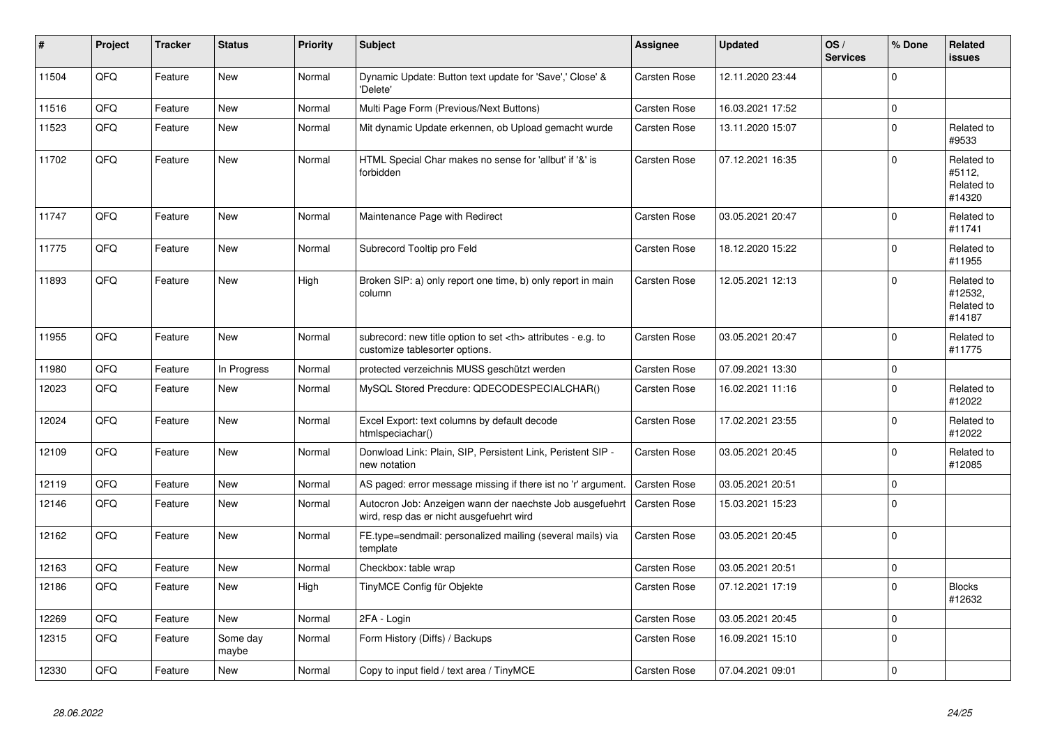| #     | Project | <b>Tracker</b> | <b>Status</b>     | <b>Priority</b> | <b>Subject</b>                                                                                       | Assignee                                               | <b>Updated</b>      | OS/<br><b>Services</b> | % Done      | Related<br><b>issues</b>                      |                      |
|-------|---------|----------------|-------------------|-----------------|------------------------------------------------------------------------------------------------------|--------------------------------------------------------|---------------------|------------------------|-------------|-----------------------------------------------|----------------------|
| 11504 | QFQ     | Feature        | <b>New</b>        | Normal          | Dynamic Update: Button text update for 'Save',' Close' &<br>'Delete'                                 | <b>Carsten Rose</b>                                    | 12.11.2020 23:44    |                        | $\Omega$    |                                               |                      |
| 11516 | QFQ     | Feature        | <b>New</b>        | Normal          | Multi Page Form (Previous/Next Buttons)                                                              | <b>Carsten Rose</b>                                    | 16.03.2021 17:52    |                        | $\Omega$    |                                               |                      |
| 11523 | QFQ     | Feature        | <b>New</b>        | Normal          | Mit dynamic Update erkennen, ob Upload gemacht wurde                                                 | Carsten Rose                                           | 13.11.2020 15:07    |                        | $\Omega$    | Related to<br>#9533                           |                      |
| 11702 | QFQ     | Feature        | <b>New</b>        | Normal          | HTML Special Char makes no sense for 'allbut' if '&' is<br>forbidden                                 | Carsten Rose                                           | 07.12.2021 16:35    |                        | $\Omega$    | Related to<br>#5112,<br>Related to<br>#14320  |                      |
| 11747 | QFQ     | Feature        | <b>New</b>        | Normal          | Maintenance Page with Redirect                                                                       | <b>Carsten Rose</b>                                    | 03.05.2021 20:47    |                        | $\Omega$    | Related to<br>#11741                          |                      |
| 11775 | QFQ     | Feature        | <b>New</b>        | Normal          | Subrecord Tooltip pro Feld                                                                           | Carsten Rose                                           | 18.12.2020 15:22    |                        | $\Omega$    | Related to<br>#11955                          |                      |
| 11893 | QFQ     | Feature        | New               | High            | Broken SIP: a) only report one time, b) only report in main<br>column                                | Carsten Rose                                           | 12.05.2021 12:13    |                        | $\Omega$    | Related to<br>#12532,<br>Related to<br>#14187 |                      |
| 11955 | QFQ     | Feature        | <b>New</b>        | Normal          | subrecord: new title option to set <th> attributes - e.g. to<br/>customize tablesorter options.</th> | attributes - e.g. to<br>customize tablesorter options. | <b>Carsten Rose</b> | 03.05.2021 20:47       |             | $\Omega$                                      | Related to<br>#11775 |
| 11980 | QFQ     | Feature        | In Progress       | Normal          | protected verzeichnis MUSS geschützt werden                                                          | Carsten Rose                                           | 07.09.2021 13:30    |                        | $\mathbf 0$ |                                               |                      |
| 12023 | QFQ     | Feature        | New               | Normal          | MySQL Stored Precdure: QDECODESPECIALCHAR()                                                          | Carsten Rose                                           | 16.02.2021 11:16    |                        | $\Omega$    | Related to<br>#12022                          |                      |
| 12024 | QFQ     | Feature        | <b>New</b>        | Normal          | Excel Export: text columns by default decode<br>htmlspeciachar()                                     | Carsten Rose                                           | 17.02.2021 23:55    |                        | $\Omega$    | Related to<br>#12022                          |                      |
| 12109 | QFQ     | Feature        | New               | Normal          | Donwload Link: Plain, SIP, Persistent Link, Peristent SIP -<br>new notation                          | Carsten Rose                                           | 03.05.2021 20:45    |                        | $\Omega$    | Related to<br>#12085                          |                      |
| 12119 | QFQ     | Feature        | <b>New</b>        | Normal          | AS paged: error message missing if there ist no 'r' argument.                                        | Carsten Rose                                           | 03.05.2021 20:51    |                        | $\mathbf 0$ |                                               |                      |
| 12146 | QFQ     | Feature        | <b>New</b>        | Normal          | Autocron Job: Anzeigen wann der naechste Job ausgefuehrt<br>wird, resp das er nicht ausgefuehrt wird | <b>Carsten Rose</b>                                    | 15.03.2021 15:23    |                        | $\Omega$    |                                               |                      |
| 12162 | QFQ     | Feature        | <b>New</b>        | Normal          | FE.type=sendmail: personalized mailing (several mails) via<br>template                               | <b>Carsten Rose</b>                                    | 03.05.2021 20:45    |                        | $\Omega$    |                                               |                      |
| 12163 | QFQ     | Feature        | <b>New</b>        | Normal          | Checkbox: table wrap                                                                                 | <b>Carsten Rose</b>                                    | 03.05.2021 20:51    |                        | $\mathbf 0$ |                                               |                      |
| 12186 | QFQ     | Feature        | <b>New</b>        | High            | TinyMCE Config für Objekte                                                                           | Carsten Rose                                           | 07.12.2021 17:19    |                        | $\Omega$    | <b>Blocks</b><br>#12632                       |                      |
| 12269 | QFQ     | Feature        | New               | Normal          | 2FA - Login                                                                                          | <b>Carsten Rose</b>                                    | 03.05.2021 20:45    |                        | $\mathbf 0$ |                                               |                      |
| 12315 | QFQ     | Feature        | Some day<br>maybe | Normal          | Form History (Diffs) / Backups                                                                       | Carsten Rose                                           | 16.09.2021 15:10    |                        | $\Omega$    |                                               |                      |
| 12330 | QFQ     | Feature        | <b>New</b>        | Normal          | Copy to input field / text area / TinyMCE                                                            | Carsten Rose                                           | 07.04.2021 09:01    |                        | $\mathbf 0$ |                                               |                      |